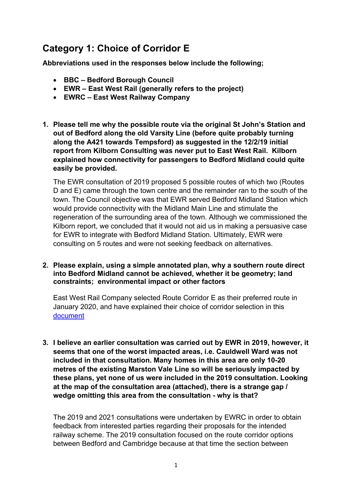# **Category 1: Choice of Corridor E**

**Abbreviations used in the responses below include the following;**

- **BBC – Bedford Borough Council**
- **EWR – East West Rail (generally refers to the project)**
- **EWRC – East West Railway Company**
- **1. Please tell me why the possible route via the original St John's Station and out of Bedford along the old Varsity Line (before quite probably turning along the A421 towards Tempsford) as suggested in the 12/2/19 initial report from Kilborn Consulting was never put to East West Rail. Kilborn explained how connectivity for passengers to Bedford Midland could quite easily be provided.**

The EWR consultation of 2019 proposed 5 possible routes of which two (Routes D and E) came through the town centre and the remainder ran to the south of the town. The Council objective was that EWR served Bedford Midland Station which would provide connectivity with the Midland Main Line and stimulate the regeneration of the surrounding area of the town. Although we commissioned the Kilborn report, we concluded that it would not aid us in making a persuasive case for EWR to integrate with Bedford Midland Station. Ultimately, EWR were consulting on 5 routes and were not seeking feedback on alternatives.

#### **2. Please explain, using a simple annotated plan, why a southern route direct into Bedford Midland cannot be achieved, whether it be geometry; land constraints; environmental impact or other factors**

East West Rail Company selected Route Corridor E as their preferred route in January 2020, and have explained their choice of corridor selection in this [document](https://eastwestrail-production.s3.eu-west-2.amazonaws.com/public/MediaObjectFiles/a72dbd2d81/Preferred-Route-Option-Announcement-Preferred-Route-Option-Report-v2.pdf)

**3. I believe an earlier consultation was carried out by EWR in 2019, however, it seems that one of the worst impacted areas, i.e. Cauldwell Ward was not included in that consultation. Many homes in this area are only 10-20 metres of the existing Marston Vale Line so will be seriously impacted by these plans, yet none of us were included in the 2019 consultation. Looking at the map of the consultation area (attached), there is a strange gap / wedge omitting this area from the consultation - why is that?**

The 2019 and 2021 consultations were undertaken by EWRC in order to obtain feedback from interested parties regarding their proposals for the intended railway scheme. The 2019 consultation focused on the route corridor options between Bedford and Cambridge because at that time the section between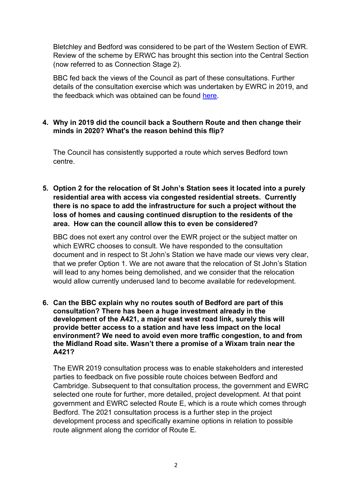Bletchley and Bedford was considered to be part of the Western Section of EWR. Review of the scheme by ERWC has brought this section into the Central Section (now referred to as Connection Stage 2).

BBC fed back the views of the Council as part of these consultations. Further details of the consultation exercise which was undertaken by EWRC in 2019, and the feedback which was obtained can be found [here.](https://eastwestrail-production.s3.eu-west-2.amazonaws.com/public/MediaObjectFiles/66959d6763/Preferred-Route-Option-Announcement-Public-Feedback-Report-v2.pdf)

#### **4. Why in 2019 did the council back a Southern Route and then change their minds in 2020? What's the reason behind this flip?**

The Council has consistently supported a route which serves Bedford town centre.

**5. Option 2 for the relocation of St John's Station sees it located into a purely residential area with access via congested residential streets. Currently there is no space to add the infrastructure for such a project without the loss of homes and causing continued disruption to the residents of the area. How can the council allow this to even be considered?**

BBC does not exert any control over the EWR project or the subject matter on which EWRC chooses to consult. We have responded to the consultation document and in respect to St John's Station we have made our views very clear, that we prefer Option 1. We are not aware that the relocation of St John's Station will lead to any homes being demolished, and we consider that the relocation would allow currently underused land to become available for redevelopment.

**6. Can the BBC explain why no routes south of Bedford are part of this consultation? There has been a huge investment already in the development of the A421, a major east west road link, surely this will provide better access to a station and have less impact on the local environment? We need to avoid even more traffic congestion, to and from the Midland Road site. Wasn't there a promise of a Wixam train near the A421?**

The EWR 2019 consultation process was to enable stakeholders and interested parties to feedback on five possible route choices between Bedford and Cambridge. Subsequent to that consultation process, the government and EWRC selected one route for further, more detailed, project development. At that point government and EWRC selected Route E, which is a route which comes through Bedford. The 2021 consultation process is a further step in the project development process and specifically examine options in relation to possible route alignment along the corridor of Route E.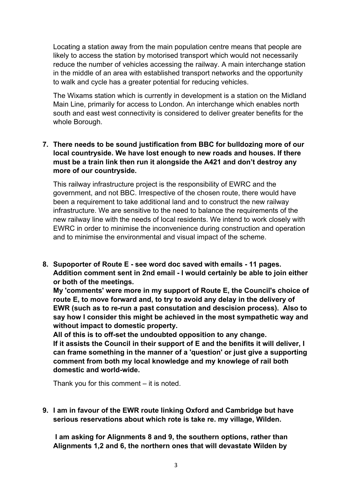Locating a station away from the main population centre means that people are likely to access the station by motorised transport which would not necessarily reduce the number of vehicles accessing the railway. A main interchange station in the middle of an area with established transport networks and the opportunity to walk and cycle has a greater potential for reducing vehicles.

The Wixams station which is currently in development is a station on the Midland Main Line, primarily for access to London. An interchange which enables north south and east west connectivity is considered to deliver greater benefits for the whole Borough.

# **7. There needs to be sound justification from BBC for bulldozing more of our local countryside. We have lost enough to new roads and houses. If there must be a train link then run it alongside the A421 and don't destroy any more of our countryside.**

This railway infrastructure project is the responsibility of EWRC and the government, and not BBC. Irrespective of the chosen route, there would have been a requirement to take additional land and to construct the new railway infrastructure. We are sensitive to the need to balance the requirements of the new railway line with the needs of local residents. We intend to work closely with EWRC in order to minimise the inconvenience during construction and operation and to minimise the environmental and visual impact of the scheme.

**8. Supoporter of Route E - see word doc saved with emails - 11 pages. Addition comment sent in 2nd email - I would certainly be able to join either or both of the meetings.**

**My 'comments' were more in my support of Route E, the Council's choice of route E, to move forward and, to try to avoid any delay in the delivery of EWR (such as to re-run a past consutation and descision process). Also to say how I consider this might be achieved in the most sympathetic way and without impact to domestic property.**

**All of this is to off-set the undoubted opposition to any change.**

**If it assists the Council in their support of E and the benifits it will deliver, I can frame something in the manner of a 'question' or just give a supporting comment from both my local knowledge and my knowlege of rail both domestic and world-wide.**

Thank you for this comment – it is noted.

**9. I am in favour of the EWR route linking Oxford and Cambridge but have serious reservations about which rote is take re. my village, Wilden.**

**I am asking for Alignments 8 and 9, the southern options, rather than Alignments 1,2 and 6, the northern ones that will devastate Wilden by**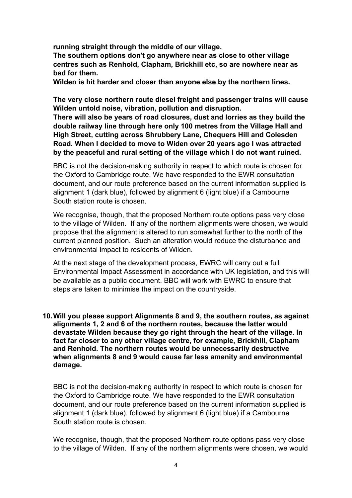**running straight through the middle of our village.** 

**The southern options don't go anywhere near as close to other village centres such as Renhold, Clapham, Brickhill etc, so are nowhere near as bad for them.** 

**Wilden is hit harder and closer than anyone else by the northern lines.**

**The very close northern route diesel freight and passenger trains will cause Wilden untold noise, vibration, pollution and disruption.** 

**There will also be years of road closures, dust and lorries as they build the double railway line through here only 100 metres from the Village Hall and High Street, cutting across Shrubbery Lane, Chequers Hill and Colesden Road. When I decided to move to Widen over 20 years ago I was attracted by the peaceful and rural setting of the village which I do not want ruined.**

BBC is not the decision-making authority in respect to which route is chosen for the Oxford to Cambridge route. We have responded to the EWR consultation document, and our route preference based on the current information supplied is alignment 1 (dark blue), followed by alignment 6 (light blue) if a Cambourne South station route is chosen.

We recognise, though, that the proposed Northern route options pass very close to the village of Wilden. If any of the northern alignments were chosen, we would propose that the alignment is altered to run somewhat further to the north of the current planned position. Such an alteration would reduce the disturbance and environmental impact to residents of Wilden.

At the next stage of the development process, EWRC will carry out a full Environmental Impact Assessment in accordance with UK legislation, and this will be available as a public document. BBC will work with EWRC to ensure that steps are taken to minimise the impact on the countryside.

**10.Will you please support Alignments 8 and 9, the southern routes, as against alignments 1, 2 and 6 of the northern routes, because the latter would devastate Wilden because they go right through the heart of the village. In fact far closer to any other village centre, for example, Brickhill, Clapham and Renhold. The northern routes would be unnecessarily destructive when alignments 8 and 9 would cause far less amenity and environmental damage.**

BBC is not the decision-making authority in respect to which route is chosen for the Oxford to Cambridge route. We have responded to the EWR consultation document, and our route preference based on the current information supplied is alignment 1 (dark blue), followed by alignment 6 (light blue) if a Cambourne South station route is chosen.

We recognise, though, that the proposed Northern route options pass very close to the village of Wilden. If any of the northern alignments were chosen, we would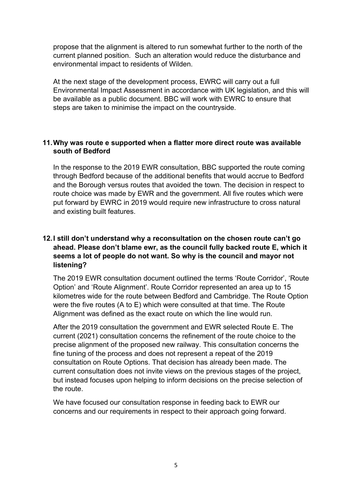propose that the alignment is altered to run somewhat further to the north of the current planned position. Such an alteration would reduce the disturbance and environmental impact to residents of Wilden.

At the next stage of the development process, EWRC will carry out a full Environmental Impact Assessment in accordance with UK legislation, and this will be available as a public document. BBC will work with EWRC to ensure that steps are taken to minimise the impact on the countryside.

#### **11.Why was route e supported when a flatter more direct route was available south of Bedford**

In the response to the 2019 EWR consultation, BBC supported the route coming through Bedford because of the additional benefits that would accrue to Bedford and the Borough versus routes that avoided the town. The decision in respect to route choice was made by EWR and the government. All five routes which were put forward by EWRC in 2019 would require new infrastructure to cross natural and existing built features.

# **12.I still don't understand why a reconsultation on the chosen route can't go ahead. Please don't blame ewr, as the council fully backed route E, which it seems a lot of people do not want. So why is the council and mayor not listening?**

The 2019 EWR consultation document outlined the terms 'Route Corridor', 'Route Option' and 'Route Alignment'. Route Corridor represented an area up to 15 kilometres wide for the route between Bedford and Cambridge. The Route Option were the five routes (A to E) which were consulted at that time. The Route Alignment was defined as the exact route on which the line would run.

After the 2019 consultation the government and EWR selected Route E. The current (2021) consultation concerns the refinement of the route choice to the precise alignment of the proposed new railway. This consultation concerns the fine tuning of the process and does not represent a repeat of the 2019 consultation on Route Options. That decision has already been made. The current consultation does not invite views on the previous stages of the project, but instead focuses upon helping to inform decisions on the precise selection of the route.

We have focused our consultation response in feeding back to EWR our concerns and our requirements in respect to their approach going forward.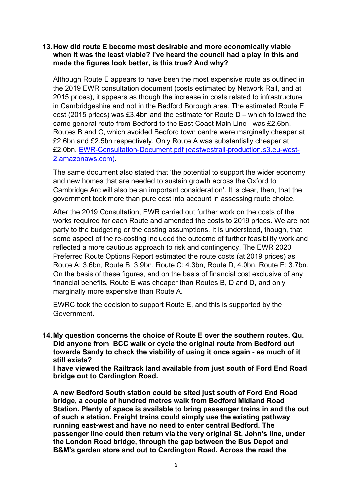#### **13.How did route E become most desirable and more economically viable when it was the least viable? I've heard the council had a play in this and made the figures look better, is this true? And why?**

Although Route E appears to have been the most expensive route as outlined in the 2019 EWR consultation document (costs estimated by Network Rail, and at 2015 prices), it appears as though the increase in costs related to infrastructure in Cambridgeshire and not in the Bedford Borough area. The estimated Route E cost (2015 prices) was £3.4bn and the estimate for Route D – which followed the same general route from Bedford to the East Coast Main Line - was £2.6bn. Routes B and C, which avoided Bedford town centre were marginally cheaper at £2.6bn and £2.5bn respectively. Only Route A was substantially cheaper at £2.0bn. [EWR-Consultation-Document.pdf \(eastwestrail-production.s3.eu-west-](https://eastwestrail-production.s3.eu-west-2.amazonaws.com/public/Central-Section-Consultation/fe0f74c338/EWR-Consultation-Document.pdf)[2.amazonaws.com\).](https://eastwestrail-production.s3.eu-west-2.amazonaws.com/public/Central-Section-Consultation/fe0f74c338/EWR-Consultation-Document.pdf)

The same document also stated that 'the potential to support the wider economy and new homes that are needed to sustain growth across the Oxford to Cambridge Arc will also be an important consideration'. It is clear, then, that the government took more than pure cost into account in assessing route choice.

After the 2019 Consultation, EWR carried out further work on the costs of the works required for each Route and amended the costs to 2019 prices. We are not party to the budgeting or the costing assumptions. It is understood, though, that some aspect of the re-costing included the outcome of further feasibility work and reflected a more cautious approach to risk and contingency. The EWR 2020 Preferred Route Options Report estimated the route costs (at 2019 prices) as Route A: 3.6bn, Route B: 3.9bn, Route C: 4.3bn, Route D, 4.0bn, Route E: 3.7bn. On the basis of these figures, and on the basis of financial cost exclusive of any financial benefits, Route E was cheaper than Routes B, D and D, and only marginally more expensive than Route A.

EWRC took the decision to support Route E, and this is supported by the Government.

**14.My question concerns the choice of Route E over the southern routes. Qu. Did anyone from BCC walk or cycle the original route from Bedford out towards Sandy to check the viability of using it once again - as much of it still exists?** 

**I have viewed the Railtrack land available from just south of Ford End Road bridge out to Cardington Road.**

**A new Bedford South station could be sited just south of Ford End Road bridge, a couple of hundred metres walk from Bedford Midland Road Station. Plenty of space is available to bring passenger trains in and the out of such a station. Freight trains could simply use the existing pathway running east-west and have no need to enter central Bedford. The passenger line could then return via the very original St. John's line, under the London Road bridge, through the gap between the Bus Depot and B&M's garden store and out to Cardington Road. Across the road the**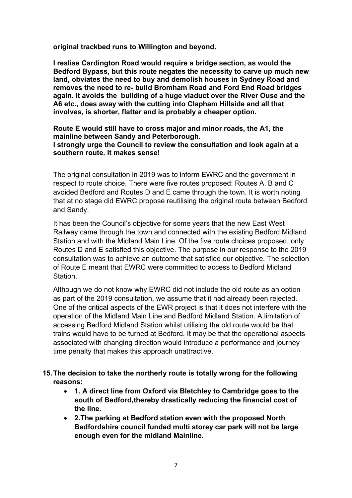**original trackbed runs to Willington and beyond.** 

**I realise Cardington Road would require a bridge section, as would the Bedford Bypass, but this route negates the necessity to carve up much new land, obviates the need to buy and demolish houses in Sydney Road and removes the need to re- build Bromham Road and Ford End Road bridges again. It avoids the building of a huge viaduct over the River Ouse and the A6 etc., does away with the cutting into Clapham Hillside and all that involves, is shorter, flatter and is probably a cheaper option.**

**Route E would still have to cross major and minor roads, the A1, the mainline between Sandy and Peterborough. I strongly urge the Council to review the consultation and look again at a southern route. It makes sense!** 

The original consultation in 2019 was to inform EWRC and the government in respect to route choice. There were five routes proposed: Routes A, B and C avoided Bedford and Routes D and E came through the town. It is worth noting that at no stage did EWRC propose reutilising the original route between Bedford and Sandy.

It has been the Council's objective for some years that the new East West Railway came through the town and connected with the existing Bedford Midland Station and with the Midland Main Line. Of the five route choices proposed, only Routes D and E satisfied this objective. The purpose in our response to the 2019 consultation was to achieve an outcome that satisfied our objective. The selection of Route E meant that EWRC were committed to access to Bedford Midland **Station** 

Although we do not know why EWRC did not include the old route as an option as part of the 2019 consultation, we assume that it had already been rejected. One of the critical aspects of the EWR project is that it does not interfere with the operation of the Midland Main Line and Bedford Midland Station. A limitation of accessing Bedford Midland Station whilst utilising the old route would be that trains would have to be turned at Bedford. It may be that the operational aspects associated with changing direction would introduce a performance and journey time penalty that makes this approach unattractive.

- **15.The decision to take the northerly route is totally wrong for the following reasons:** 
	- **1. A direct line from Oxford via Bletchley to Cambridge goes to the south of Bedford,thereby drastically reducing the financial cost of the line.**
	- **2.The parking at Bedford station even with the proposed North Bedfordshire council funded multi storey car park will not be large enough even for the midland Mainline.**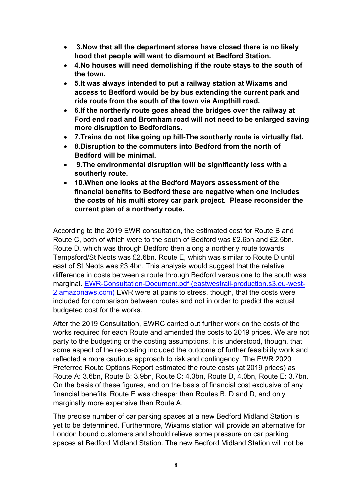- **3.Now that all the department stores have closed there is no likely hood that people will want to dismount at Bedford Station.**
- **4.No houses will need demolishing if the route stays to the south of the town.**
- **5.It was always intended to put a railway station at Wixams and access to Bedford would be by bus extending the current park and ride route from the south of the town via Ampthill road.**
- **6.If the northerly route goes ahead the bridges over the railway at Ford end road and Bromham road will not need to be enlarged saving more disruption to Bedfordians.**
- **7.Trains do not like going up hill-The southerly route is virtually flat.**
- **8.Disruption to the commuters into Bedford from the north of Bedford will be minimal.**
- **9.The environmental disruption will be significantly less with a southerly route.**
- **10.When one looks at the Bedford Mayors assessment of the financial benefits to Bedford these are negative when one includes the costs of his multi storey car park project. Please reconsider the current plan of a northerly route.**

According to the 2019 EWR consultation, the estimated cost for Route B and Route C, both of which were to the south of Bedford was £2.6bn and £2.5bn. Route D, which was through Bedford then along a northerly route towards Tempsford/St Neots was £2.6bn. Route E, which was similar to Route D until east of St Neots was £3.4bn. This analysis would suggest that the relative difference in costs between a route through Bedford versus one to the south was marginal. [EWR-Consultation-Document.pdf \(eastwestrail-production.s3.eu-west-](https://eastwestrail-production.s3.eu-west-2.amazonaws.com/public/Central-Section-Consultation/fe0f74c338/EWR-Consultation-Document.pdf)[2.amazonaws.com\)](https://eastwestrail-production.s3.eu-west-2.amazonaws.com/public/Central-Section-Consultation/fe0f74c338/EWR-Consultation-Document.pdf) EWR were at pains to stress, though, that the costs were included for comparison between routes and not in order to predict the actual budgeted cost for the works.

After the 2019 Consultation, EWRC carried out further work on the costs of the works required for each Route and amended the costs to 2019 prices. We are not party to the budgeting or the costing assumptions. It is understood, though, that some aspect of the re-costing included the outcome of further feasibility work and reflected a more cautious approach to risk and contingency. The EWR 2020 Preferred Route Options Report estimated the route costs (at 2019 prices) as Route A: 3.6bn, Route B: 3.9bn, Route C: 4.3bn, Route D, 4.0bn, Route E: 3.7bn. On the basis of these figures, and on the basis of financial cost exclusive of any financial benefits, Route E was cheaper than Routes B, D and D, and only marginally more expensive than Route A.

The precise number of car parking spaces at a new Bedford Midland Station is yet to be determined. Furthermore, Wixams station will provide an alternative for London bound customers and should relieve some pressure on car parking spaces at Bedford Midland Station. The new Bedford Midland Station will not be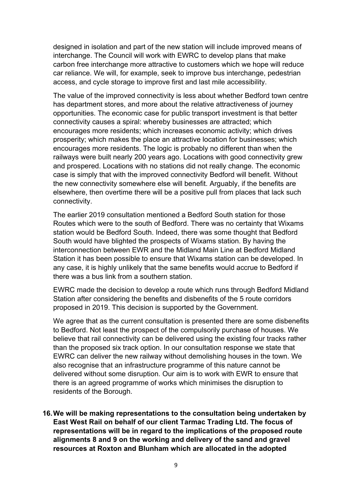designed in isolation and part of the new station will include improved means of interchange. The Council will work with EWRC to develop plans that make carbon free interchange more attractive to customers which we hope will reduce car reliance. We will, for example, seek to improve bus interchange, pedestrian access, and cycle storage to improve first and last mile accessibility.

The value of the improved connectivity is less about whether Bedford town centre has department stores, and more about the relative attractiveness of journey opportunities. The economic case for public transport investment is that better connectivity causes a spiral: whereby businesses are attracted; which encourages more residents; which increases economic activity; which drives prosperity; which makes the place an attractive location for businesses; which encourages more residents. The logic is probably no different than when the railways were built nearly 200 years ago. Locations with good connectivity grew and prospered. Locations with no stations did not really change. The economic case is simply that with the improved connectivity Bedford will benefit. Without the new connectivity somewhere else will benefit. Arguably, if the benefits are elsewhere, then overtime there will be a positive pull from places that lack such connectivity.

The earlier 2019 consultation mentioned a Bedford South station for those Routes which were to the south of Bedford. There was no certainty that Wixams station would be Bedford South. Indeed, there was some thought that Bedford South would have blighted the prospects of Wixams station. By having the interconnection between EWR and the Midland Main Line at Bedford Midland Station it has been possible to ensure that Wixams station can be developed. In any case, it is highly unlikely that the same benefits would accrue to Bedford if there was a bus link from a southern station.

EWRC made the decision to develop a route which runs through Bedford Midland Station after considering the benefits and disbenefits of the 5 route corridors proposed in 2019. This decision is supported by the Government.

We agree that as the current consultation is presented there are some disbenefits to Bedford. Not least the prospect of the compulsorily purchase of houses. We believe that rail connectivity can be delivered using the existing four tracks rather than the proposed six track option. In our consultation response we state that EWRC can deliver the new railway without demolishing houses in the town. We also recognise that an infrastructure programme of this nature cannot be delivered without some disruption. Our aim is to work with EWR to ensure that there is an agreed programme of works which minimises the disruption to residents of the Borough.

**16.We will be making representations to the consultation being undertaken by East West Rail on behalf of our client Tarmac Trading Ltd. The focus of representations will be in regard to the implications of the proposed route alignments 8 and 9 on the working and delivery of the sand and gravel resources at Roxton and Blunham which are allocated in the adopted**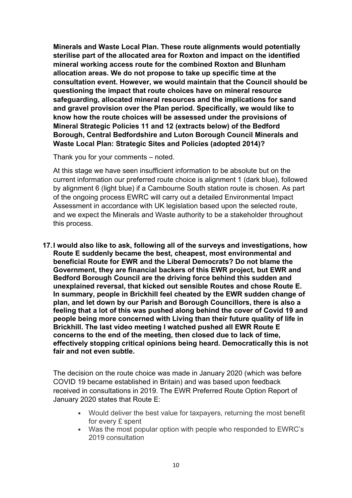**Minerals and Waste Local Plan. These route alignments would potentially sterilise part of the allocated area for Roxton and impact on the identified mineral working access route for the combined Roxton and Blunham allocation areas. We do not propose to take up specific time at the consultation event. However, we would maintain that the Council should be questioning the impact that route choices have on mineral resource safeguarding, allocated mineral resources and the implications for sand and gravel provision over the Plan period. Specifically, we would like to know how the route choices will be assessed under the provisions of Mineral Strategic Policies 11 and 12 (extracts below) of the Bedford Borough, Central Bedfordshire and Luton Borough Council Minerals and Waste Local Plan: Strategic Sites and Policies (adopted 2014)?**

Thank you for your comments – noted.

At this stage we have seen insufficient information to be absolute but on the current information our preferred route choice is alignment 1 (dark blue), followed by alignment 6 (light blue) if a Cambourne South station route is chosen. As part of the ongoing process EWRC will carry out a detailed Environmental Impact Assessment in accordance with UK legislation based upon the selected route, and we expect the Minerals and Waste authority to be a stakeholder throughout this process.

**17.I would also like to ask, following all of the surveys and investigations, how Route E suddenly became the best, cheapest, most environmental and beneficial Route for EWR and the Liberal Democrats? Do not blame the Government, they are financial backers of this EWR project, but EWR and Bedford Borough Council are the driving force behind this sudden and unexplained reversal, that kicked out sensible Routes and chose Route E. In summary, people in Brickhill feel cheated by the EWR sudden change of plan, and let down by our Parish and Borough Councillors, there is also a feeling that a lot of this was pushed along behind the cover of Covid 19 and people being more concerned with Living than their future quality of life in Brickhill. The last video meeting I watched pushed all EWR Route E concerns to the end of the meeting, then closed due to lack of time, effectively stopping critical opinions being heard. Democratically this is not fair and not even subtle.**

The decision on the route choice was made in January 2020 (which was before COVID 19 became established in Britain) and was based upon feedback received in consultations in 2019. The EWR Preferred Route Option Report of January 2020 states that Route E:

- Would deliver the best value for taxpayers, returning the most benefit for every £ spent
- Was the most popular option with people who responded to EWRC's 2019 consultation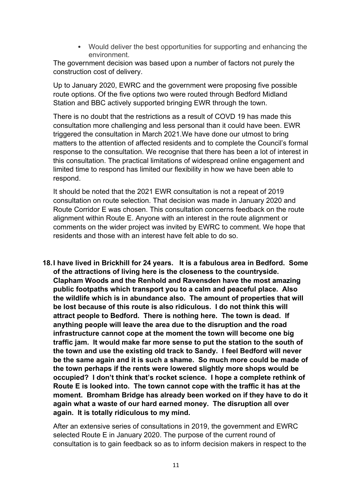• Would deliver the best opportunities for supporting and enhancing the environment.

The government decision was based upon a number of factors not purely the construction cost of delivery.

Up to January 2020, EWRC and the government were proposing five possible route options. Of the five options two were routed through Bedford Midland Station and BBC actively supported bringing EWR through the town.

There is no doubt that the restrictions as a result of COVD 19 has made this consultation more challenging and less personal than it could have been. EWR triggered the consultation in March 2021.We have done our utmost to bring matters to the attention of affected residents and to complete the Council's formal response to the consultation. We recognise that there has been a lot of interest in this consultation. The practical limitations of widespread online engagement and limited time to respond has limited our flexibility in how we have been able to respond.

It should be noted that the 2021 EWR consultation is not a repeat of 2019 consultation on route selection. That decision was made in January 2020 and Route Corridor E was chosen. This consultation concerns feedback on the route alignment within Route E. Anyone with an interest in the route alignment or comments on the wider project was invited by EWRC to comment. We hope that residents and those with an interest have felt able to do so.

**18.I have lived in Brickhill for 24 years. It is a fabulous area in Bedford. Some of the attractions of living here is the closeness to the countryside. Clapham Woods and the Renhold and Ravensden have the most amazing public footpaths which transport you to a calm and peaceful place. Also the wildlife which is in abundance also. The amount of properties that will be lost because of this route is also ridiculous. I do not think this will attract people to Bedford. There is nothing here. The town is dead. If anything people will leave the area due to the disruption and the road infrastructure cannot cope at the moment the town will become one big traffic jam. It would make far more sense to put the station to the south of the town and use the existing old track to Sandy. I feel Bedford will never be the same again and it is such a shame. So much more could be made of the town perhaps if the rents were lowered slightly more shops would be occupied? I don't think that's rocket science. I hope a complete rethink of Route E is looked into. The town cannot cope with the traffic it has at the moment. Bromham Bridge has already been worked on if they have to do it again what a waste of our hard earned money. The disruption all over again. It is totally ridiculous to my mind.**

After an extensive series of consultations in 2019, the government and EWRC selected Route E in January 2020. The purpose of the current round of consultation is to gain feedback so as to inform decision makers in respect to the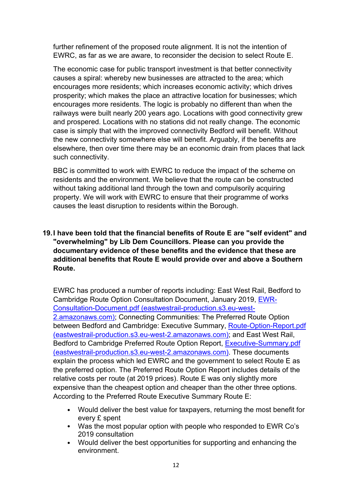further refinement of the proposed route alignment. It is not the intention of EWRC, as far as we are aware, to reconsider the decision to select Route E.

The economic case for public transport investment is that better connectivity causes a spiral: whereby new businesses are attracted to the area; which encourages more residents; which increases economic activity; which drives prosperity; which makes the place an attractive location for businesses; which encourages more residents. The logic is probably no different than when the railways were built nearly 200 years ago. Locations with good connectivity grew and prospered. Locations with no stations did not really change. The economic case is simply that with the improved connectivity Bedford will benefit. Without the new connectivity somewhere else will benefit. Arguably, if the benefits are elsewhere, then over time there may be an economic drain from places that lack such connectivity.

BBC is committed to work with EWRC to reduce the impact of the scheme on residents and the environment. We believe that the route can be constructed without taking additional land through the town and compulsorily acquiring property. We will work with EWRC to ensure that their programme of works causes the least disruption to residents within the Borough.

# **19.I have been told that the financial benefits of Route E are "self evident" and "overwhelming" by Lib Dem Councillors. Please can you provide the documentary evidence of these benefits and the evidence that these are additional benefits that Route E would provide over and above a Southern Route.**

EWRC has produced a number of reports including: East West Rail, Bedford to Cambridge Route Option Consultation Document, January 2019, [EWR-](https://eastwestrail-production.s3.eu-west-2.amazonaws.com/public/Central-Section-Consultation/fe0f74c338/EWR-Consultation-Document.pdf)[Consultation-Document.pdf \(eastwestrail-production.s3.eu-west-](https://eastwestrail-production.s3.eu-west-2.amazonaws.com/public/Central-Section-Consultation/fe0f74c338/EWR-Consultation-Document.pdf)[2.amazonaws.com\);](https://eastwestrail-production.s3.eu-west-2.amazonaws.com/public/Central-Section-Consultation/fe0f74c338/EWR-Consultation-Document.pdf) Connecting Communities: The Preferred Route Option between Bedford and Cambridge: Executive Summary, [Route-Option-Report.pdf](https://eastwestrail-production.s3.eu-west-2.amazonaws.com/public/Preferred-Route-Option-Announcement/a72dbd2d81/Route-Option-Report.pdf)  [\(eastwestrail-production.s3.eu-west-2.amazonaws.com\);](https://eastwestrail-production.s3.eu-west-2.amazonaws.com/public/Preferred-Route-Option-Announcement/a72dbd2d81/Route-Option-Report.pdf) and East West Rail, Bedford to Cambridge Preferred Route Option Report, [Executive-Summary.pdf](https://eastwestrail-production.s3.eu-west-2.amazonaws.com/public/Preferred-Route-Option-Announcement/339ba6a468/Executive-Summary.pdf)  [\(eastwestrail-production.s3.eu-west-2.amazonaws.com\).](https://eastwestrail-production.s3.eu-west-2.amazonaws.com/public/Preferred-Route-Option-Announcement/339ba6a468/Executive-Summary.pdf) These documents explain the process which led EWRC and the government to select Route E as the preferred option. The Preferred Route Option Report includes details of the relative costs per route (at 2019 prices). Route E was only slightly more expensive than the cheapest option and cheaper than the other three options. According to the Preferred Route Executive Summary Route E:

- Would deliver the best value for taxpayers, returning the most benefit for every £ spent
- Was the most popular option with people who responded to EWR Co's 2019 consultation
- Would deliver the best opportunities for supporting and enhancing the environment.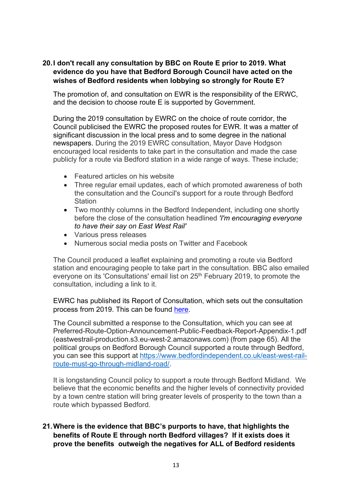# **20.I don't recall any consultation by BBC on Route E prior to 2019. What evidence do you have that Bedford Borough Council have acted on the wishes of Bedford residents when lobbying so strongly for Route E?**

The promotion of, and consultation on EWR is the responsibility of the ERWC, and the decision to choose route E is supported by Government.

During the 2019 consultation by EWRC on the choice of route corridor, the Council publicised the EWRC the proposed routes for EWR. It was a matter of significant discussion in the local press and to some degree in the national newspapers. During the 2019 EWRC consultation, Mayor Dave Hodgson encouraged local residents to take part in the consultation and made the case publicly for a route via Bedford station in a wide range of ways. These include;

- Featured articles on his website
- Three regular email updates, each of which promoted awareness of both the consultation and the Council's support for a route through Bedford **Station**
- Two monthly columns in the Bedford Independent, including one shortly before the close of the consultation headlined *'I'm [encouraging](https://www.bedfordindependent.co.uk/im-encouraging-everyone-to-have-their-say-on-east-west-rail/) everyone to have their say on East [West](https://www.bedfordindependent.co.uk/im-encouraging-everyone-to-have-their-say-on-east-west-rail/) Rail'*
- Various press releases
- Numerous social media posts on Twitter and Facebook

The Council produced a leaflet explaining and promoting a route via Bedford station and encouraging people to take part in the consultation. BBC also emailed everyone on its 'Consultations' email list on 25<sup>th</sup> February 2019, to promote the consultation, including a link to it.

EWRC has published its Report of Consultation, which sets out the consultation process from 2019. This can be found [here.](https://eastwestrail-production.s3.eu-west-2.amazonaws.com/public/MediaObjectFiles/66959d6763/Preferred-Route-Option-Announcement-Public-Feedback-Report-v2.pdf)

The Council submitted a response to the Consultation, which you can see at Preferred-Route-Option-Announcement-Public-Feedback-Report-Appendix-1.pdf (eastwestrail-production.s3.eu-west-2.amazonaws.com) (from page 65). All the political groups on Bedford Borough Council supported a route through Bedford, you can see this support at [https://www.bedfordindependent.co.uk/east-west-rail](https://www.bedfordindependent.co.uk/east-west-rail-route-must-go-through-midland-road/)[route-must-go-through-midland-road/.](https://www.bedfordindependent.co.uk/east-west-rail-route-must-go-through-midland-road/)

It is longstanding Council policy to support a route through Bedford Midland. We believe that the economic benefits and the higher levels of connectivity provided by a town centre station will bring greater levels of prosperity to the town than a route which bypassed Bedford.

# **21.Where is the evidence that BBC's purports to have, that highlights the benefits of Route E through north Bedford villages? If it exists does it prove the benefits outweigh the negatives for ALL of Bedford residents**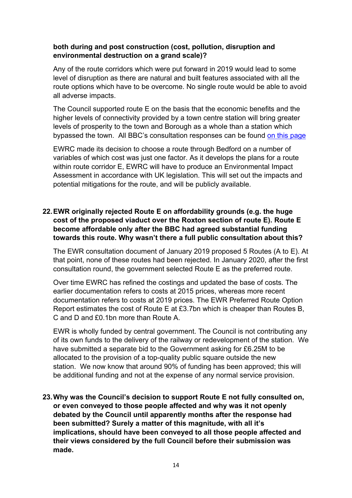# **both during and post construction (cost, pollution, disruption and environmental destruction on a grand scale)?**

Any of the route corridors which were put forward in 2019 would lead to some level of disruption as there are natural and built features associated with all the route options which have to be overcome. No single route would be able to avoid all adverse impacts.

The Council supported route E on the basis that the economic benefits and the higher levels of connectivity provided by a town centre station will bring greater levels of prosperity to the town and Borough as a whole than a station which bypassed the town. All BBC's consultation responses can be found [on this page](https://www.bedford.gov.uk/council-and-democracy/have-your-say/consultations/east-west-rail-consultation/)

EWRC made its decision to choose a route through Bedford on a number of variables of which cost was just one factor. As it develops the plans for a route within route corridor E, EWRC will have to produce an Environmental Impact Assessment in accordance with UK legislation. This will set out the impacts and potential mitigations for the route, and will be publicly available.

# **22.EWR originally rejected Route E on affordability grounds (e.g. the huge cost of the proposed viaduct over the Roxton section of route E). Route E become affordable only after the BBC had agreed substantial funding towards this route. Why wasn't there a full public consultation about this?**

The EWR consultation document of January 2019 proposed 5 Routes (A to E). At that point, none of these routes had been rejected. In January 2020, after the first consultation round, the government selected Route E as the preferred route.

Over time EWRC has refined the costings and updated the base of costs. The earlier documentation refers to costs at 2015 prices, whereas more recent documentation refers to costs at 2019 prices. The EWR Preferred Route Option Report estimates the cost of Route E at £3.7bn which is cheaper than Routes B, C and D and £0.1bn more than Route A.

EWR is wholly funded by central government. The Council is not contributing any of its own funds to the delivery of the railway or redevelopment of the station. We have submitted a separate bid to the Government asking for £6.25M to be allocated to the provision of a top-quality public square outside the new station. We now know that around 90% of funding has been approved; this will be additional funding and not at the expense of any normal service provision.

**23.Why was the Council's decision to support Route E not fully consulted on, or even conveyed to those people affected and why was it not openly debated by the Council until apparently months after the response had been submitted? Surely a matter of this magnitude, with all it's implications, should have been conveyed to all those people affected and their views considered by the full Council before their submission was made.**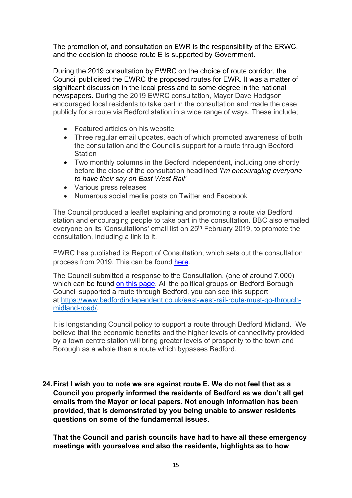The promotion of, and consultation on EWR is the responsibility of the ERWC, and the decision to choose route E is supported by Government.

During the 2019 consultation by EWRC on the choice of route corridor, the Council publicised the EWRC the proposed routes for EWR. It was a matter of significant discussion in the local press and to some degree in the national newspapers. During the 2019 EWRC consultation, Mayor Dave Hodgson encouraged local residents to take part in the consultation and made the case publicly for a route via Bedford station in a wide range of ways. These include;

- Featured articles on his website
- Three regular email updates, each of which promoted awareness of both the consultation and the Council's support for a route through Bedford **Station**
- Two monthly columns in the Bedford Independent, including one shortly before the close of the consultation headlined *'I'm [encouraging](https://www.bedfordindependent.co.uk/im-encouraging-everyone-to-have-their-say-on-east-west-rail/) everyone to have their say on East [West](https://www.bedfordindependent.co.uk/im-encouraging-everyone-to-have-their-say-on-east-west-rail/) Rail'*
- Various press releases
- Numerous social media posts on Twitter and Facebook

The Council produced a leaflet explaining and promoting a route via Bedford station and encouraging people to take part in the consultation. BBC also emailed everyone on its 'Consultations' email list on 25<sup>th</sup> February 2019, to promote the consultation, including a link to it.

EWRC has published its Report of Consultation, which sets out the consultation process from 2019. This can be found [here.](https://eastwestrail-production.s3.eu-west-2.amazonaws.com/public/MediaObjectFiles/66959d6763/Preferred-Route-Option-Announcement-Public-Feedback-Report-v2.pdf)

The Council submitted a response to the Consultation, (one of around 7,000) which can be found [on this page.](https://www.bedford.gov.uk/council-and-democracy/have-your-say/consultations/east-west-rail-consultation/) All the political groups on Bedford Borough Council supported a route through Bedford, you can see this support at [https://www.bedfordindependent.co.uk/east-west-rail-route-must-go-through](https://www.bedfordindependent.co.uk/east-west-rail-route-must-go-through-midland-road/)[midland-road/.](https://www.bedfordindependent.co.uk/east-west-rail-route-must-go-through-midland-road/)

It is longstanding Council policy to support a route through Bedford Midland. We believe that the economic benefits and the higher levels of connectivity provided by a town centre station will bring greater levels of prosperity to the town and Borough as a whole than a route which bypasses Bedford.

**24.First I wish you to note we are against route E. We do not feel that as a Council you properly informed the residents of Bedford as we don't all get emails from the Mayor or local papers. Not enough information has been provided, that is demonstrated by you being unable to answer residents questions on some of the fundamental issues.** 

**That the Council and parish councils have had to have all these emergency meetings with yourselves and also the residents, highlights as to how**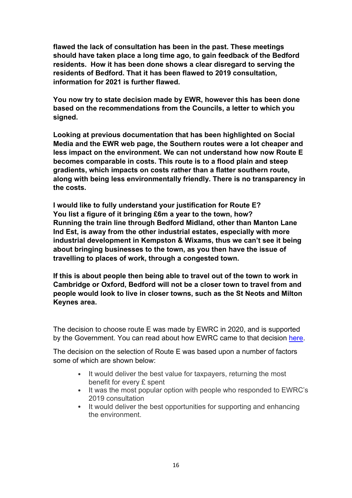**flawed the lack of consultation has been in the past. These meetings should have taken place a long time ago, to gain feedback of the Bedford residents. How it has been done shows a clear disregard to serving the residents of Bedford. That it has been flawed to 2019 consultation, information for 2021 is further flawed.**

**You now try to state decision made by EWR, however this has been done based on the recommendations from the Councils, a letter to which you signed.**

**Looking at previous documentation that has been highlighted on Social Media and the EWR web page, the Southern routes were a lot cheaper and less impact on the environment. We can not understand how now Route E becomes comparable in costs. This route is to a flood plain and steep gradients, which impacts on costs rather than a flatter southern route, along with being less environmentally friendly. There is no transparency in the costs.** 

**I would like to fully understand your justification for Route E? You list a figure of it bringing £6m a year to the town, how? Running the train line through Bedford Midland, other than Manton Lane Ind Est, is away from the other industrial estates, especially with more industrial development in Kempston & Wixams, thus we can't see it being about bringing businesses to the town, as you then have the issue of travelling to places of work, through a congested town.**

**If this is about people then being able to travel out of the town to work in Cambridge or Oxford, Bedford will not be a closer town to travel from and people would look to live in closer towns, such as the St Neots and Milton Keynes area.**

The decision to choose route E was made by EWRC in 2020, and is supported by the Government. You can read about how EWRC came to that decision [here.](https://eastwestrail-production.s3.eu-west-2.amazonaws.com/public/MediaObjectFiles/a72dbd2d81/Preferred-Route-Option-Announcement-Preferred-Route-Option-Report-v2.pdf)

The decision on the selection of Route E was based upon a number of factors some of which are shown below:

- It would deliver the best value for taxpayers, returning the most benefit for every £ spent
- It was the most popular option with people who responded to EWRC's 2019 consultation
- It would deliver the best opportunities for supporting and enhancing the environment.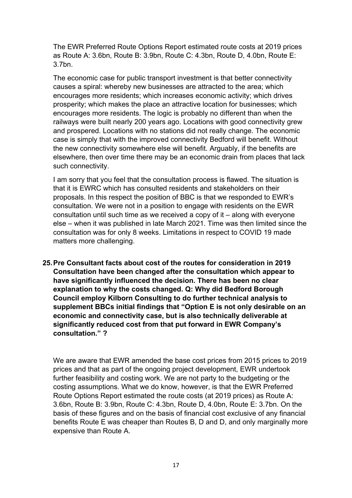The EWR Preferred Route Options Report estimated route costs at 2019 prices as Route A: 3.6bn, Route B: 3.9bn, Route C: 4.3bn, Route D, 4.0bn, Route E: 3.7bn.

The economic case for public transport investment is that better connectivity causes a spiral: whereby new businesses are attracted to the area; which encourages more residents; which increases economic activity; which drives prosperity; which makes the place an attractive location for businesses; which encourages more residents. The logic is probably no different than when the railways were built nearly 200 years ago. Locations with good connectivity grew and prospered. Locations with no stations did not really change. The economic case is simply that with the improved connectivity Bedford will benefit. Without the new connectivity somewhere else will benefit. Arguably, if the benefits are elsewhere, then over time there may be an economic drain from places that lack such connectivity.

I am sorry that you feel that the consultation process is flawed. The situation is that it is EWRC which has consulted residents and stakeholders on their proposals. In this respect the position of BBC is that we responded to EWR's consultation. We were not in a position to engage with residents on the EWR consultation until such time as we received a copy of it – along with everyone else – when it was published in late March 2021. Time was then limited since the consultation was for only 8 weeks. Limitations in respect to COVID 19 made matters more challenging.

**25.Pre Consultant facts about cost of the routes for consideration in 2019 Consultation have been changed after the consultation which appear to have significantly influenced the decision. There has been no clear explanation to why the costs changed. Q: Why did Bedford Borough Council employ Kilborn Consulting to do further technical analysis to supplement BBCs initial findings that "Option E is not only desirable on an economic and connectivity case, but is also technically deliverable at significantly reduced cost from that put forward in EWR Company's consultation." ?**

We are aware that EWR amended the base cost prices from 2015 prices to 2019 prices and that as part of the ongoing project development, EWR undertook further feasibility and costing work. We are not party to the budgeting or the costing assumptions. What we do know, however, is that the EWR Preferred Route Options Report estimated the route costs (at 2019 prices) as Route A: 3.6bn, Route B: 3.9bn, Route C: 4.3bn, Route D, 4.0bn, Route E: 3.7bn. On the basis of these figures and on the basis of financial cost exclusive of any financial benefits Route E was cheaper than Routes B, D and D, and only marginally more expensive than Route A.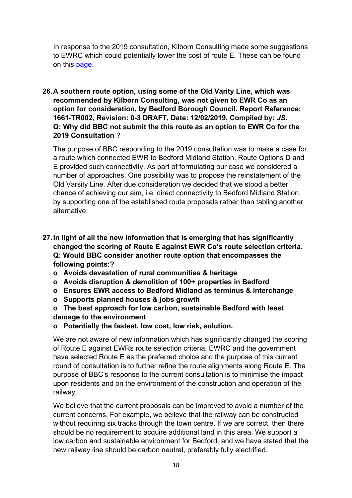In response to the 2019 consultation, Kilborn Consulting made some suggestions to EWRC which could potentially lower the cost of route E. These can be found on this [page.](https://www.bedford.gov.uk/parking-roads-and-travel/strategies-and-projects/east-west-rail-connection/)

**26.A southern route option, using some of the Old Varity Line, which was recommended by Kilborn Consulting, was not given to EWR Co as an option for consideration, by Bedford Borough Council. Report Reference: 1661-TR002, Revision: 0-3 DRAFT, Date: 12/02/2019, Compiled by:** *JS***. Q: Why did BBC not submit the this route as an option to EWR Co for the 2019 Consultation** ?

The purpose of BBC responding to the 2019 consultation was to make a case for a route which connected EWR to Bedford Midland Station. Route Options D and E provided such connectivity. As part of formulating our case we considered a number of approaches. One possibility was to propose the reinstatement of the Old Varsity Line. After due consideration we decided that we stood a better chance of achieving our aim, i.e. direct connectivity to Bedford Midland Station, by supporting one of the established route proposals rather than tabling another alternative.

- **27.In light of all the new information that is emerging that has significantly changed the scoring of Route E against EWR Co's route selection criteria. Q: Would BBC consider another route option that encompasses the following points:?**
	- **o Avoids devastation of rural communities & heritage**
	- **o Avoids disruption & demolition of 100+ properties in Bedford**
	- **o Ensures EWR access to Bedford Midland as terminus & interchange**
	- **o Supports planned houses & jobs growth**
	- **o The best approach for low carbon, sustainable Bedford with least damage to the environment**
	- **o Potentially the fastest, low cost, low risk, solution.**

We are not aware of new information which has significantly changed the scoring of Route E against EWRs route selection criteria. EWRC and the government have selected Route E as the preferred choice and the purpose of this current round of consultation is to further refine the route alignments along Route E. The purpose of BBC's response to the current consultation is to minimise the impact upon residents and on the environment of the construction and operation of the railway.

We believe that the current proposals can be improved to avoid a number of the current concerns. For example, we believe that the railway can be constructed without requiring six tracks through the town centre. If we are correct, then there should be no requirement to acquire additional land in this area. We support a low carbon and sustainable environment for Bedford, and we have stated that the new railway line should be carbon neutral, preferably fully electrified.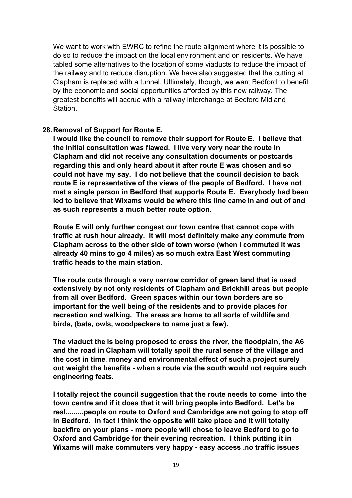We want to work with EWRC to refine the route alignment where it is possible to do so to reduce the impact on the local environment and on residents. We have tabled some alternatives to the location of some viaducts to reduce the impact of the railway and to reduce disruption. We have also suggested that the cutting at Clapham is replaced with a tunnel. Ultimately, though, we want Bedford to benefit by the economic and social opportunities afforded by this new railway. The greatest benefits will accrue with a railway interchange at Bedford Midland Station.

## **28.Removal of Support for Route E.**

**I would like the council to remove their support for Route E. I believe that the initial consultation was flawed. I live very very near the route in Clapham and did not receive any consultation documents or postcards regarding this and only heard about it after route E was chosen and so could not have my say. I do not believe that the council decision to back route E is representative of the views of the people of Bedford. I have not met a single person in Bedford that supports Route E. Everybody had been led to believe that Wixams would be where this line came in and out of and as such represents a much better route option.** 

**Route E will only further congest our town centre that cannot cope with traffic at rush hour already. It will most definitely make any commute from Clapham across to the other side of town worse (when I commuted it was already 40 mins to go 4 miles) as so much extra East West commuting traffic heads to the main station.**

**The route cuts through a very narrow corridor of green land that is used extensively by not only residents of Clapham and Brickhill areas but people from all over Bedford. Green spaces within our town borders are so important for the well being of the residents and to provide places for recreation and walking. The areas are home to all sorts of wildlife and birds, (bats, owls, woodpeckers to name just a few).** 

**The viaduct the is being proposed to cross the river, the floodplain, the A6 and the road in Clapham will totally spoil the rural sense of the village and the cost in time, money and environmental effect of such a project surely out weight the benefits - when a route via the south would not require such engineering feats.**

**I totally reject the council suggestion that the route needs to come into the town centre and if it does that it will bring people into Bedford. Let's be real.........people on route to Oxford and Cambridge are not going to stop off in Bedford. In fact I think the opposite will take place and it will totally backfire on your plans - more people will chose to leave Bedford to go to Oxford and Cambridge for their evening recreation. I think putting it in Wixams will make commuters very happy - easy access .no traffic issues**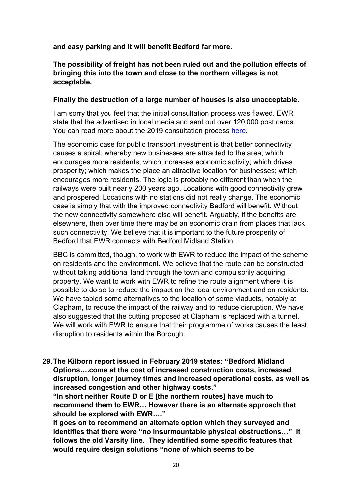**and easy parking and it will benefit Bedford far more.**

**The possibility of freight has not been ruled out and the pollution effects of bringing this into the town and close to the northern villages is not acceptable.** 

#### **Finally the destruction of a large number of houses is also unacceptable.**

I am sorry that you feel that the initial consultation process was flawed. EWR state that the advertised in local media and sent out over 120,000 post cards. You can read more about the 2019 consultation process [here.](https://eastwestrail-production.s3.eu-west-2.amazonaws.com/public/MediaObjectFiles/66959d6763/Preferred-Route-Option-Announcement-Public-Feedback-Report-v2.pdf)

The economic case for public transport investment is that better connectivity causes a spiral: whereby new businesses are attracted to the area; which encourages more residents; which increases economic activity; which drives prosperity; which makes the place an attractive location for businesses; which encourages more residents. The logic is probably no different than when the railways were built nearly 200 years ago. Locations with good connectivity grew and prospered. Locations with no stations did not really change. The economic case is simply that with the improved connectivity Bedford will benefit. Without the new connectivity somewhere else will benefit. Arguably, if the benefits are elsewhere, then over time there may be an economic drain from places that lack such connectivity. We believe that it is important to the future prosperity of Bedford that EWR connects with Bedford Midland Station.

BBC is committed, though, to work with EWR to reduce the impact of the scheme on residents and the environment. We believe that the route can be constructed without taking additional land through the town and compulsorily acquiring property. We want to work with EWR to refine the route alignment where it is possible to do so to reduce the impact on the local environment and on residents. We have tabled some alternatives to the location of some viaducts, notably at Clapham, to reduce the impact of the railway and to reduce disruption. We have also suggested that the cutting proposed at Clapham is replaced with a tunnel. We will work with EWR to ensure that their programme of works causes the least disruption to residents within the Borough.

**29.The Kilborn report issued in February 2019 states: "Bedford Midland Options….come at the cost of increased construction costs, increased disruption, longer journey times and increased operational costs, as well as increased congestion and other highway costs."**

**"In short neither Route D or E [the northern routes] have much to recommend them to EWR… However there is an alternate approach that should be explored with EWR…."**

**It goes on to recommend an alternate option which they surveyed and identifies that there were "no insurmountable physical obstructions…" It follows the old Varsity line. They identified some specific features that would require design solutions "none of which seems to be**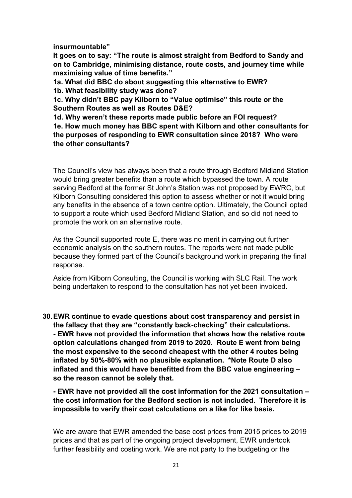**insurmountable"**

**It goes on to say: "The route is almost straight from Bedford to Sandy and on to Cambridge, minimising distance, route costs, and journey time while maximising value of time benefits."**

**1a. What did BBC do about suggesting this alternative to EWR?** 

**1b. What feasibility study was done?** 

**1c. Why didn't BBC pay Kilborn to "Value optimise" this route or the Southern Routes as well as Routes D&E?**

**1d. Why weren't these reports made public before an FOI request? 1e. How much money has BBC spent with Kilborn and other consultants for the purposes of responding to EWR consultation since 2018? Who were the other consultants?**

The Council's view has always been that a route through Bedford Midland Station would bring greater benefits than a route which bypassed the town. A route serving Bedford at the former St John's Station was not proposed by EWRC, but Kilborn Consulting considered this option to assess whether or not it would bring any benefits in the absence of a town centre option. Ultimately, the Council opted to support a route which used Bedford Midland Station, and so did not need to promote the work on an alternative route.

As the Council supported route E, there was no merit in carrying out further economic analysis on the southern routes. The reports were not made public because they formed part of the Council's background work in preparing the final response.

Aside from Kilborn Consulting, the Council is working with SLC Rail. The work being undertaken to respond to the consultation has not yet been invoiced.

**30.EWR continue to evade questions about cost transparency and persist in the fallacy that they are "constantly back-checking" their calculations. - EWR have not provided the information that shows how the relative route option calculations changed from 2019 to 2020. Route E went from being the most expensive to the second cheapest with the other 4 routes being inflated by 50%-80% with no plausible explanation. \*Note Route D also inflated and this would have benefitted from the BBC value engineering – so the reason cannot be solely that.**

**- EWR have not provided all the cost information for the 2021 consultation – the cost information for the Bedford section is not included. Therefore it is impossible to verify their cost calculations on a like for like basis.**

We are aware that EWR amended the base cost prices from 2015 prices to 2019 prices and that as part of the ongoing project development, EWR undertook further feasibility and costing work. We are not party to the budgeting or the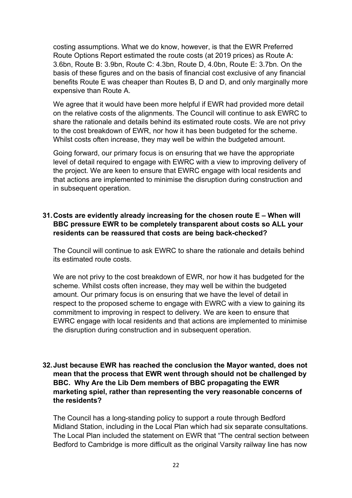costing assumptions. What we do know, however, is that the EWR Preferred Route Options Report estimated the route costs (at 2019 prices) as Route A: 3.6bn, Route B: 3.9bn, Route C: 4.3bn, Route D, 4.0bn, Route E: 3.7bn. On the basis of these figures and on the basis of financial cost exclusive of any financial benefits Route E was cheaper than Routes B, D and D, and only marginally more expensive than Route A.

We agree that it would have been more helpful if EWR had provided more detail on the relative costs of the alignments. The Council will continue to ask EWRC to share the rationale and details behind its estimated route costs. We are not privy to the cost breakdown of EWR, nor how it has been budgeted for the scheme. Whilst costs often increase, they may well be within the budgeted amount.

Going forward, our primary focus is on ensuring that we have the appropriate level of detail required to engage with EWRC with a view to improving delivery of the project. We are keen to ensure that EWRC engage with local residents and that actions are implemented to minimise the disruption during construction and in subsequent operation.

# **31.Costs are evidently already increasing for the chosen route E – When will BBC pressure EWR to be completely transparent about costs so ALL your residents can be reassured that costs are being back-checked?**

The Council will continue to ask EWRC to share the rationale and details behind its estimated route costs.

We are not privy to the cost breakdown of EWR, nor how it has budgeted for the scheme. Whilst costs often increase, they may well be within the budgeted amount. Our primary focus is on ensuring that we have the level of detail in respect to the proposed scheme to engage with EWRC with a view to gaining its commitment to improving in respect to delivery. We are keen to ensure that EWRC engage with local residents and that actions are implemented to minimise the disruption during construction and in subsequent operation.

# **32.Just because EWR has reached the conclusion the Mayor wanted, does not mean that the process that EWR went through should not be challenged by BBC. Why Are the Lib Dem members of BBC propagating the EWR marketing spiel, rather than representing the very reasonable concerns of the residents?**

The Council has a long-standing policy to support a route through Bedford Midland Station, including in the Local Plan which had six separate consultations. The Local Plan included the statement on EWR that "The central section between Bedford to Cambridge is more difficult as the original Varsity railway line has now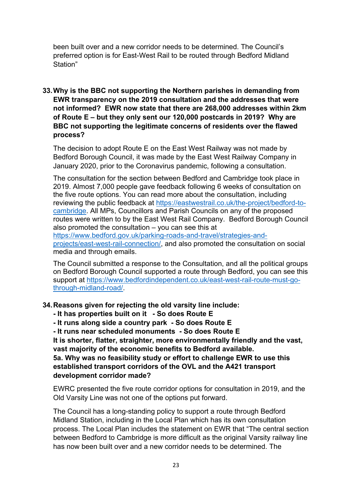been built over and a new corridor needs to be determined. The Council's preferred option is for East-West Rail to be routed through Bedford Midland Station"

**33.Why is the BBC not supporting the Northern parishes in demanding from EWR transparency on the 2019 consultation and the addresses that were not informed? EWR now state that there are 268,000 addresses within 2km of Route E – but they only sent our 120,000 postcards in 2019? Why are BBC not supporting the legitimate concerns of residents over the flawed process?**

The decision to adopt Route E on the East West Railway was not made by Bedford Borough Council, it was made by the East West Railway Company in January 2020, prior to the Coronavirus pandemic, following a consultation.

The consultation for the section between Bedford and Cambridge took place in 2019. Almost 7,000 people gave feedback following 6 weeks of consultation on the five route options. You can read more about the consultation, including reviewing the public feedback at [https://eastwestrail.co.uk/the-project/bedford-to](https://eastwestrail.co.uk/the-project/bedford-to-cambridge)[cambridge.](https://eastwestrail.co.uk/the-project/bedford-to-cambridge) All MPs, Councillors and Parish Councils on any of the proposed routes were written to by the East West Rail Company. Bedford Borough Council also promoted the consultation – you can see this at [https://www.bedford.gov.uk/parking-roads-and-travel/strategies-and](https://www.bedford.gov.uk/parking-roads-and-travel/strategies-and-projects/east-west-rail-connection/)[projects/east-west-rail-connection/,](https://www.bedford.gov.uk/parking-roads-and-travel/strategies-and-projects/east-west-rail-connection/) and also promoted the consultation on social media and through emails.

The Council submitted a response to the Consultation, and all the political groups on Bedford Borough Council supported a route through Bedford, you can see this support at [https://www.bedfordindependent.co.uk/east-west-rail-route-must-go](https://www.bedfordindependent.co.uk/east-west-rail-route-must-go-through-midland-road/)[through-midland-road/.](https://www.bedfordindependent.co.uk/east-west-rail-route-must-go-through-midland-road/)

# **34.Reasons given for rejecting the old varsity line include:**

- **- It has properties built on it - So does Route E**
- **- It runs along side a country park - So does Route E**
- **- It runs near scheduled monuments - So does Route E**

**It is shorter, flatter, straighter, more environmentally friendly and the vast, vast majority of the economic benefits to Bedford available.**

**5a. Why was no feasibility study or effort to challenge EWR to use this established transport corridors of the OVL and the A421 transport development corridor made?**

EWRC presented the five route corridor options for consultation in 2019, and the Old Varsity Line was not one of the options put forward.

The Council has a long-standing policy to support a route through Bedford Midland Station, including in the Local Plan which has its own consultation process. The Local Plan includes the statement on EWR that "The central section between Bedford to Cambridge is more difficult as the original Varsity railway line has now been built over and a new corridor needs to be determined. The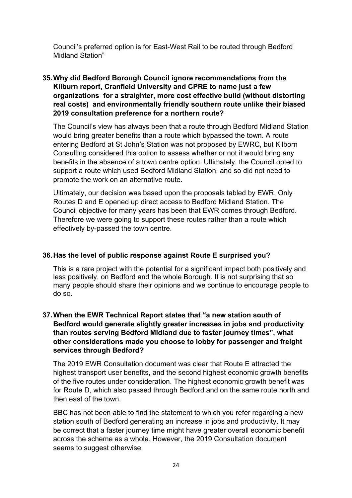Council's preferred option is for East-West Rail to be routed through Bedford Midland Station"

# **35.Why did Bedford Borough Council ignore recommendations from the Kilburn report, Cranfield University and CPRE to name just a few organizations for a straighter, more cost effective build (without distorting real costs) and environmentally friendly southern route unlike their biased 2019 consultation preference for a northern route?**

The Council's view has always been that a route through Bedford Midland Station would bring greater benefits than a route which bypassed the town. A route entering Bedford at St John's Station was not proposed by EWRC, but Kilborn Consulting considered this option to assess whether or not it would bring any benefits in the absence of a town centre option. Ultimately, the Council opted to support a route which used Bedford Midland Station, and so did not need to promote the work on an alternative route.

Ultimately, our decision was based upon the proposals tabled by EWR. Only Routes D and E opened up direct access to Bedford Midland Station. The Council objective for many years has been that EWR comes through Bedford. Therefore we were going to support these routes rather than a route which effectively by-passed the town centre.

# **36.Has the level of public response against Route E surprised you?**

This is a rare project with the potential for a significant impact both positively and less positively, on Bedford and the whole Borough. It is not surprising that so many people should share their opinions and we continue to encourage people to do so.

# **37.When the EWR Technical Report states that "a new station south of Bedford would generate slightly greater increases in jobs and productivity than routes serving Bedford Midland due to faster journey times", what other considerations made you choose to lobby for passenger and freight services through Bedford?**

The 2019 EWR Consultation document was clear that Route E attracted the highest transport user benefits, and the second highest economic growth benefits of the five routes under consideration. The highest economic growth benefit was for Route D, which also passed through Bedford and on the same route north and then east of the town.

BBC has not been able to find the statement to which you refer regarding a new station south of Bedford generating an increase in jobs and productivity. It may be correct that a faster journey time might have greater overall economic benefit across the scheme as a whole. However, the 2019 Consultation document seems to suggest otherwise.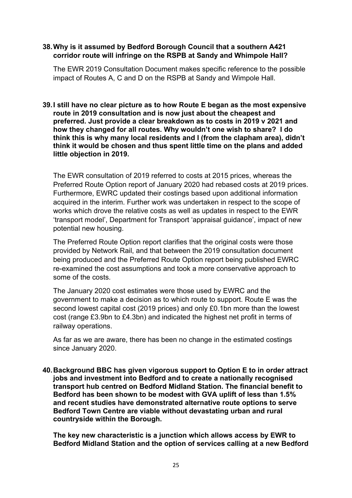## **38.Why is it assumed by Bedford Borough Council that a southern A421 corridor route will infringe on the RSPB at Sandy and Whimpole Hall?**

The EWR 2019 Consultation Document makes specific reference to the possible impact of Routes A, C and D on the RSPB at Sandy and Wimpole Hall.

**39.I still have no clear picture as to how Route E began as the most expensive route in 2019 consultation and is now just about the cheapest and preferred. Just provide a clear breakdown as to costs in 2019 v 2021 and how they changed for all routes. Why wouldn't one wish to share? I do think this is why many local residents and I (from the clapham area), didn't think it would be chosen and thus spent little time on the plans and added little objection in 2019.** 

The EWR consultation of 2019 referred to costs at 2015 prices, whereas the Preferred Route Option report of January 2020 had rebased costs at 2019 prices. Furthermore, EWRC updated their costings based upon additional information acquired in the interim. Further work was undertaken in respect to the scope of works which drove the relative costs as well as updates in respect to the EWR 'transport model', Department for Transport 'appraisal guidance', impact of new potential new housing.

The Preferred Route Option report clarifies that the original costs were those provided by Network Rail, and that between the 2019 consultation document being produced and the Preferred Route Option report being published EWRC re-examined the cost assumptions and took a more conservative approach to some of the costs.

The January 2020 cost estimates were those used by EWRC and the government to make a decision as to which route to support. Route E was the second lowest capital cost (2019 prices) and only £0.1bn more than the lowest cost (range £3.9bn to £4.3bn) and indicated the highest net profit in terms of railway operations.

As far as we are aware, there has been no change in the estimated costings since January 2020.

**40.Background BBC has given vigorous support to Option E to in order attract jobs and investment into Bedford and to create a nationally recognised transport hub centred on Bedford Midland Station. The financial benefit to Bedford has been shown to be modest with GVA uplift of less than 1.5% and recent studies have demonstrated alternative route options to serve Bedford Town Centre are viable without devastating urban and rural countryside within the Borough.**

**The key new characteristic is a junction which allows access by EWR to Bedford Midland Station and the option of services calling at a new Bedford**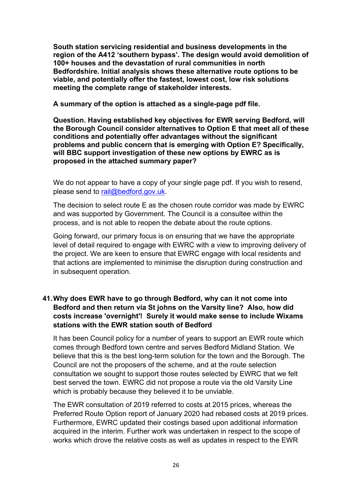**South station servicing residential and business developments in the region of the A412 'southern bypass'. The design would avoid demolition of 100+ houses and the devastation of rural communities in north Bedfordshire. Initial analysis shows these alternative route options to be viable, and potentially offer the fastest, lowest cost, low risk solutions meeting the complete range of stakeholder interests.**

**A summary of the option is attached as a single-page pdf file.**

**Question. Having established key objectives for EWR serving Bedford, will the Borough Council consider alternatives to Option E that meet all of these conditions and potentially offer advantages without the significant problems and public concern that is emerging with Option E? Specifically, will BBC support investigation of these new options by EWRC as is proposed in the attached summary paper?**

We do not appear to have a copy of your single page pdf. If you wish to resend, please send to [rail@bedford.gov.uk.](mailto:rail@bedford.gov.uk)

The decision to select route E as the chosen route corridor was made by EWRC and was supported by Government. The Council is a consultee within the process, and is not able to reopen the debate about the route options.

Going forward, our primary focus is on ensuring that we have the appropriate level of detail required to engage with EWRC with a view to improving delivery of the project. We are keen to ensure that EWRC engage with local residents and that actions are implemented to minimise the disruption during construction and in subsequent operation.

## **41.Why does EWR have to go through Bedford, why can it not come into Bedford and then return via St johns on the Varsity line? Also, how did costs increase 'overnight'! Surely it would make sense to include Wixams stations with the EWR station south of Bedford**

It has been Council policy for a number of years to support an EWR route which comes through Bedford town centre and serves Bedford Midland Station. We believe that this is the best long-term solution for the town and the Borough. The Council are not the proposers of the scheme, and at the route selection consultation we sought to support those routes selected by EWRC that we felt best served the town. EWRC did not propose a route via the old Varsity Line which is probably because they believed it to be unviable.

The EWR consultation of 2019 referred to costs at 2015 prices, whereas the Preferred Route Option report of January 2020 had rebased costs at 2019 prices. Furthermore, EWRC updated their costings based upon additional information acquired in the interim. Further work was undertaken in respect to the scope of works which drove the relative costs as well as updates in respect to the EWR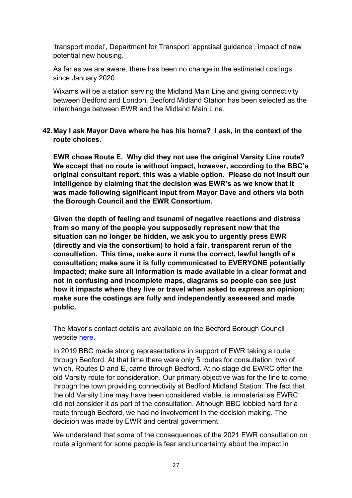'transport model', Department for Transport 'appraisal guidance', impact of new potential new housing.

As far as we are aware, there has been no change in the estimated costings since January 2020.

Wixams will be a station serving the Midland Main Line and giving connectivity between Bedford and London. Bedford Midland Station has been selected as the interchange between EWR and the Midland Main Line.

**42.May I ask Mayor Dave where he has his home? I ask, in the context of the route choices.**

**EWR chose Route E. Why did they not use the original Varsity Line route? We accept that no route is without impact, however, according to the BBC's original consultant report, this was a viable option. Please do not insult our intelligence by claiming that the decision was EWR's as we know that it was made following significant input from Mayor Dave and others via both the Borough Council and the EWR Consortium.** 

**Given the depth of feeling and tsunami of negative reactions and distress from so many of the people you supposedly represent now that the situation can no longer be hidden, we ask you to urgently press EWR (directly and via the consortium) to hold a fair, transparent rerun of the consultation. This time, make sure it runs the correct, lawful length of a consultation; make sure it is fully communicated to EVERYONE potentially impacted; make sure all information is made available in a clear format and not in confusing and incomplete maps, diagrams so people can see just how it impacts where they live or travel when asked to express an opinion; make sure the costings are fully and independently assessed and made public.**

The Mayor's contact details are available on the Bedford Borough Council website [here.](https://councillorsupport.bedford.gov.uk/mgFindMember.aspx)

In 2019 BBC made strong representations in support of EWR taking a route through Bedford. At that time there were only 5 routes for consultation, two of which, Routes D and E, came through Bedford. At no stage did EWRC offer the old Varsity route for consideration. Our primary objective was for the line to come through the town providing connectivity at Bedford Midland Station. The fact that the old Varsity Line may have been considered viable, is immaterial as EWRC did not consider it as part of the consultation. Although BBC lobbied hard for a route through Bedford, we had no involvement in the decision making. The decision was made by EWR and central government.

We understand that some of the consequences of the 2021 EWR consultation on route alignment for some people is fear and uncertainty about the impact in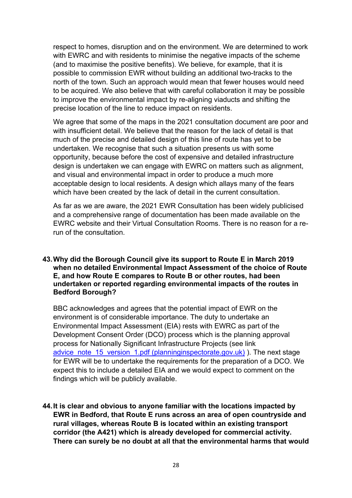respect to homes, disruption and on the environment. We are determined to work with EWRC and with residents to minimise the negative impacts of the scheme (and to maximise the positive benefits). We believe, for example, that it is possible to commission EWR without building an additional two-tracks to the north of the town. Such an approach would mean that fewer houses would need to be acquired. We also believe that with careful collaboration it may be possible to improve the environmental impact by re-aligning viaducts and shifting the precise location of the line to reduce impact on residents.

We agree that some of the maps in the 2021 consultation document are poor and with insufficient detail. We believe that the reason for the lack of detail is that much of the precise and detailed design of this line of route has yet to be undertaken. We recognise that such a situation presents us with some opportunity, because before the cost of expensive and detailed infrastructure design is undertaken we can engage with EWRC on matters such as alignment, and visual and environmental impact in order to produce a much more acceptable design to local residents. A design which allays many of the fears which have been created by the lack of detail in the current consultation.

As far as we are aware, the 2021 EWR Consultation has been widely publicised and a comprehensive range of documentation has been made available on the EWRC website and their Virtual Consultation Rooms. There is no reason for a rerun of the consultation.

**43.Why did the Borough Council give its support to Route E in March 2019 when no detailed Environmental Impact Assessment of the choice of Route E, and how Route E compares to Route B or other routes, had been undertaken or reported regarding environmental impacts of the routes in Bedford Borough?**

BBC acknowledges and agrees that the potential impact of EWR on the environment is of considerable importance. The duty to undertake an Environmental Impact Assessment (EIA) rests with EWRC as part of the Development Consent Order (DCO) process which is the planning approval process for Nationally Significant Infrastructure Projects (see link advice note 15 version 1.pdf (planninginspectorate.gov.uk) ). The next stage for EWR will be to undertake the requirements for the preparation of a DCO. We expect this to include a detailed EIA and we would expect to comment on the findings which will be publicly available.

**44.It is clear and obvious to anyone familiar with the locations impacted by EWR in Bedford, that Route E runs across an area of open countryside and rural villages, whereas Route B is located within an existing transport corridor (the A421) which is already developed for commercial activity. There can surely be no doubt at all that the environmental harms that would**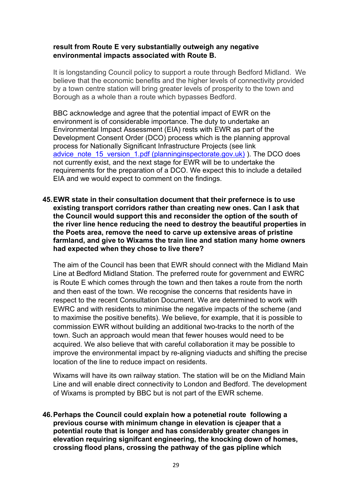#### **result from Route E very substantially outweigh any negative environmental impacts associated with Route B.**

It is longstanding Council policy to support a route through Bedford Midland. We believe that the economic benefits and the higher levels of connectivity provided by a town centre station will bring greater levels of prosperity to the town and Borough as a whole than a route which bypasses Bedford.

BBC acknowledge and agree that the potential impact of EWR on the environment is of considerable importance. The duty to undertake an Environmental Impact Assessment (EIA) rests with EWR as part of the Development Consent Order (DCO) process which is the planning approval process for Nationally Significant Infrastructure Projects (see link [advice\\_note\\_15\\_version\\_1.pdf \(planninginspectorate.gov.uk\)](https://infrastructure.planninginspectorate.gov.uk/wp-content/uploads/2014/10/advice_note_15_version_1.pdf) ). The DCO does not currently exist, and the next stage for EWR will be to undertake the requirements for the preparation of a DCO. We expect this to include a detailed EIA and we would expect to comment on the findings.

**45.EWR state in their consultation document that their prefernece is to use existing transport corridors rather than creating new ones. Can I ask that the Council would support this and reconsider the option of the south of the river line hence reducing the need to destroy the beautiful properties in the Poets area, remove the need to carve up extensive areas of pristine farmland, and give to Wixams the train line and station many home owners had expected when they chose to live there?**

The aim of the Council has been that EWR should connect with the Midland Main Line at Bedford Midland Station. The preferred route for government and EWRC is Route E which comes through the town and then takes a route from the north and then east of the town. We recognise the concerns that residents have in respect to the recent Consultation Document. We are determined to work with EWRC and with residents to minimise the negative impacts of the scheme (and to maximise the positive benefits). We believe, for example, that it is possible to commission EWR without building an additional two-tracks to the north of the town. Such an approach would mean that fewer houses would need to be acquired. We also believe that with careful collaboration it may be possible to improve the environmental impact by re-aligning viaducts and shifting the precise location of the line to reduce impact on residents.

Wixams will have its own railway station. The station will be on the Midland Main Line and will enable direct connectivity to London and Bedford. The development of Wixams is prompted by BBC but is not part of the EWR scheme.

**46.Perhaps the Council could explain how a potenetial route following a previous course with minimum change in elevation is cjeaper that a potential route that is longer and has considerably greater changes in elevation requiring signifcant engineering, the knocking down of homes, crossing flood plans, crossing the pathway of the gas pipline which**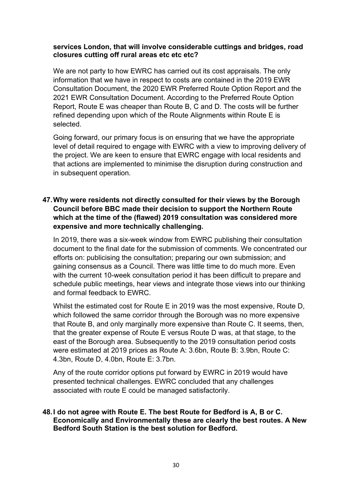#### **services London, that will involve considerable cuttings and bridges, road closures cutting off rural areas etc etc etc?**

We are not party to how EWRC has carried out its cost appraisals. The only information that we have in respect to costs are contained in the 2019 EWR Consultation Document, the 2020 EWR Preferred Route Option Report and the 2021 EWR Consultation Document. According to the Preferred Route Option Report, Route E was cheaper than Route B, C and D. The costs will be further refined depending upon which of the Route Alignments within Route E is selected.

Going forward, our primary focus is on ensuring that we have the appropriate level of detail required to engage with EWRC with a view to improving delivery of the project. We are keen to ensure that EWRC engage with local residents and that actions are implemented to minimise the disruption during construction and in subsequent operation.

# **47.Why were residents not directly consulted for their views by the Borough Council before BBC made their decision to support the Northern Route which at the time of the (flawed) 2019 consultation was considered more expensive and more technically challenging.**

In 2019, there was a six-week window from EWRC publishing their consultation document to the final date for the submission of comments. We concentrated our efforts on: publicising the consultation; preparing our own submission; and gaining consensus as a Council. There was little time to do much more. Even with the current 10-week consultation period it has been difficult to prepare and schedule public meetings, hear views and integrate those views into our thinking and formal feedback to EWRC.

Whilst the estimated cost for Route E in 2019 was the most expensive, Route D, which followed the same corridor through the Borough was no more expensive that Route B, and only marginally more expensive than Route C. It seems, then, that the greater expense of Route E versus Route D was, at that stage, to the east of the Borough area. Subsequently to the 2019 consultation period costs were estimated at 2019 prices as Route A: 3.6bn, Route B: 3.9bn, Route C: 4.3bn, Route D, 4.0bn, Route E: 3.7bn.

Any of the route corridor options put forward by EWRC in 2019 would have presented technical challenges. EWRC concluded that any challenges associated with route E could be managed satisfactorily.

#### **48.I do not agree with Route E. The best Route for Bedford is A, B or C. Economically and Environmentally these are clearly the best routes. A New Bedford South Station is the best solution for Bedford.**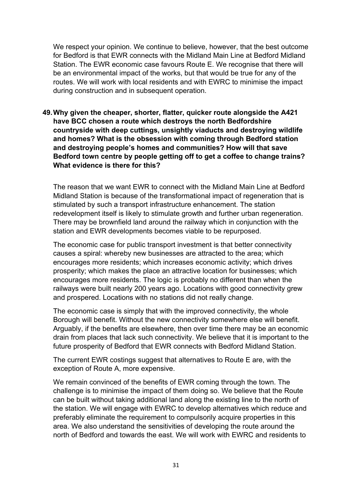We respect your opinion. We continue to believe, however, that the best outcome for Bedford is that EWR connects with the Midland Main Line at Bedford Midland Station. The EWR economic case favours Route E. We recognise that there will be an environmental impact of the works, but that would be true for any of the routes. We will work with local residents and with EWRC to minimise the impact during construction and in subsequent operation.

**49.Why given the cheaper, shorter, flatter, quicker route alongside the A421 have BCC chosen a route which destroys the north Bedfordshire countryside with deep cuttings, unsightly viaducts and destroying wildlife and homes? What is the obsession with coming through Bedford station and destroying people's homes and communities? How will that save Bedford town centre by people getting off to get a coffee to change trains? What evidence is there for this?**

The reason that we want EWR to connect with the Midland Main Line at Bedford Midland Station is because of the transformational impact of regeneration that is stimulated by such a transport infrastructure enhancement. The station redevelopment itself is likely to stimulate growth and further urban regeneration. There may be brownfield land around the railway which in conjunction with the station and EWR developments becomes viable to be repurposed.

The economic case for public transport investment is that better connectivity causes a spiral: whereby new businesses are attracted to the area; which encourages more residents; which increases economic activity; which drives prosperity; which makes the place an attractive location for businesses; which encourages more residents. The logic is probably no different than when the railways were built nearly 200 years ago. Locations with good connectivity grew and prospered. Locations with no stations did not really change.

The economic case is simply that with the improved connectivity, the whole Borough will benefit. Without the new connectivity somewhere else will benefit. Arguably, if the benefits are elsewhere, then over time there may be an economic drain from places that lack such connectivity. We believe that it is important to the future prosperity of Bedford that EWR connects with Bedford Midland Station.

The current EWR costings suggest that alternatives to Route E are, with the exception of Route A, more expensive.

We remain convinced of the benefits of EWR coming through the town. The challenge is to minimise the impact of them doing so. We believe that the Route can be built without taking additional land along the existing line to the north of the station. We will engage with EWRC to develop alternatives which reduce and preferably eliminate the requirement to compulsorily acquire properties in this area. We also understand the sensitivities of developing the route around the north of Bedford and towards the east. We will work with EWRC and residents to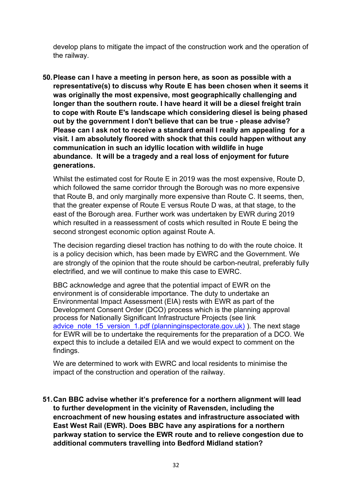develop plans to mitigate the impact of the construction work and the operation of the railway.

**50.Please can I have a meeting in person here, as soon as possible with a representative(s) to discuss why Route E has been chosen when it seems it was originally the most expensive, most geographically challenging and longer than the southern route. I have heard it will be a diesel freight train to cope with Route E's landscape which considering diesel is being phased out by the government I don't believe that can be true - please advise? Please can I ask not to receive a standard email I really am appealing for a visit. I am absolutely floored with shock that this could happen without any communication in such an idyllic location with wildlife in huge abundance. It will be a tragedy and a real loss of enjoyment for future generations.**

Whilst the estimated cost for Route E in 2019 was the most expensive, Route D, which followed the same corridor through the Borough was no more expensive that Route B, and only marginally more expensive than Route C. It seems, then, that the greater expense of Route E versus Route D was, at that stage, to the east of the Borough area. Further work was undertaken by EWR during 2019 which resulted in a reassessment of costs which resulted in Route E being the second strongest economic option against Route A.

The decision regarding diesel traction has nothing to do with the route choice. It is a policy decision which, has been made by EWRC and the Government. We are strongly of the opinion that the route should be carbon-neutral, preferably fully electrified, and we will continue to make this case to EWRC.

BBC acknowledge and agree that the potential impact of EWR on the environment is of considerable importance. The duty to undertake an Environmental Impact Assessment (EIA) rests with EWR as part of the Development Consent Order (DCO) process which is the planning approval process for Nationally Significant Infrastructure Projects (see link [advice\\_note\\_15\\_version\\_1.pdf \(planninginspectorate.gov.uk\)](https://infrastructure.planninginspectorate.gov.uk/wp-content/uploads/2014/10/advice_note_15_version_1.pdf) ). The next stage for EWR will be to undertake the requirements for the preparation of a DCO. We expect this to include a detailed EIA and we would expect to comment on the findings.

We are determined to work with EWRC and local residents to minimise the impact of the construction and operation of the railway.

**51.Can BBC advise whether it's preference for a northern alignment will lead to further development in the vicinity of Ravensden, including the encroachment of new housing estates and infrastructure associated with East West Rail (EWR). Does BBC have any aspirations for a northern parkway station to service the EWR route and to relieve congestion due to additional commuters travelling into Bedford Midland station?**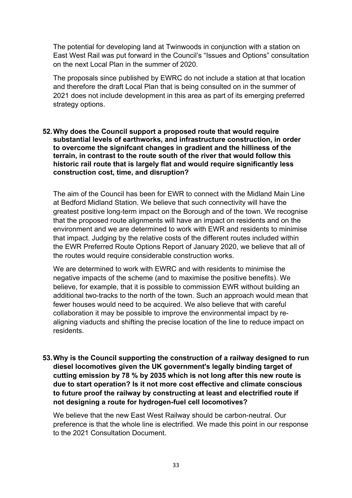The potential for developing land at Twinwoods in conjunction with a station on East West Rail was put forward in the Council's "Issues and Options" consultation on the next Local Plan in the summer of 2020.

The proposals since published by EWRC do not include a station at that location and therefore the draft Local Plan that is being consulted on in the summer of 2021 does not include development in this area as part of its emerging preferred strategy options.

#### **52.Why does the Council support a proposed route that would require substantial levels of earthworks, and infrastructure construction, in order to overcome the signifcant changes in gradient and the hilliness of the terrain, in contrast to the route south of the river that would follow this historic rail route that is largely flat and would require significantly less construction cost, time, and disruption?**

The aim of the Council has been for EWR to connect with the Midland Main Line at Bedford Midland Station. We believe that such connectivity will have the greatest positive long-term impact on the Borough and of the town. We recognise that the proposed route alignments will have an impact on residents and on the environment and we are determined to work with EWR and residents to minimise that impact. Judging by the relative costs of the different routes included within the EWR Preferred Route Options Report of January 2020, we believe that all of the routes would require considerable construction works.

We are determined to work with EWRC and with residents to minimise the negative impacts of the scheme (and to maximise the positive benefits). We believe, for example, that it is possible to commission EWR without building an additional two-tracks to the north of the town. Such an approach would mean that fewer houses would need to be acquired. We also believe that with careful collaboration it may be possible to improve the environmental impact by realigning viaducts and shifting the precise location of the line to reduce impact on residents.

**53.Why is the Council supporting the construction of a railway designed to run diesel locomotives given the UK government's legally binding target of cutting emission by 78 % by 2035 which is not long after this new route is due to start operation? Is it not more cost effective and climate conscious to future proof the railway by constructing at least and electrified route if not designing a route for hydrogen-fuel cell locomotives?**

We believe that the new East West Railway should be carbon-neutral. Our preference is that the whole line is electrified. We made this point in our response to the 2021 Consultation Document.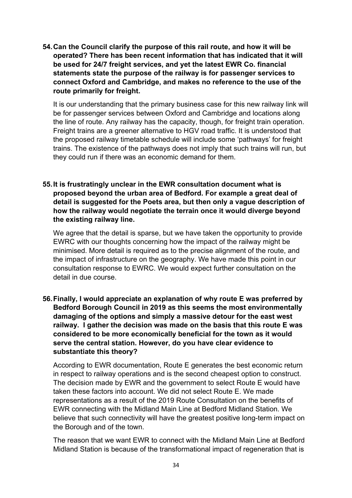**54.Can the Council clarify the purpose of this rail route, and how it will be operated? There has been recent information that has indicated that it will be used for 24/7 freight services, and yet the latest EWR Co. financial statements state the purpose of the railway is for passenger services to connect Oxford and Cambridge, and makes no reference to the use of the route primarily for freight.**

It is our understanding that the primary business case for this new railway link will be for passenger services between Oxford and Cambridge and locations along the line of route. Any railway has the capacity, though, for freight train operation. Freight trains are a greener alternative to HGV road traffic. It is understood that the proposed railway timetable schedule will include some 'pathways' for freight trains. The existence of the pathways does not imply that such trains will run, but they could run if there was an economic demand for them.

**55.It is frustratingly unclear in the EWR consultation document what is proposed beyond the urban area of Bedford. For example a great deal of detail is suggested for the Poets area, but then only a vague description of how the railway would negotiate the terrain once it would diverge beyond the existing railway line.**

We agree that the detail is sparse, but we have taken the opportunity to provide EWRC with our thoughts concerning how the impact of the railway might be minimised. More detail is required as to the precise alignment of the route, and the impact of infrastructure on the geography. We have made this point in our consultation response to EWRC. We would expect further consultation on the detail in due course.

**56.Finally, I would appreciate an explanation of why route E was preferred by Bedford Borough Council in 2019 as this seems the most environmentally damaging of the options and simply a massive detour for the east west railway. I gather the decision was made on the basis that this route E was considered to be more economically beneficial for the town as it would serve the central station. However, do you have clear evidence to substantiate this theory?**

According to EWR documentation, Route E generates the best economic return in respect to railway operations and is the second cheapest option to construct. The decision made by EWR and the government to select Route E would have taken these factors into account. We did not select Route E. We made representations as a result of the 2019 Route Consultation on the benefits of EWR connecting with the Midland Main Line at Bedford Midland Station. We believe that such connectivity will have the greatest positive long-term impact on the Borough and of the town.

The reason that we want EWR to connect with the Midland Main Line at Bedford Midland Station is because of the transformational impact of regeneration that is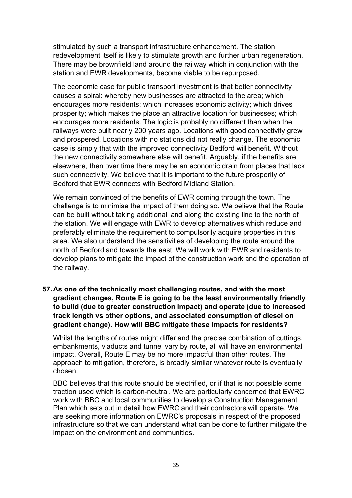stimulated by such a transport infrastructure enhancement. The station redevelopment itself is likely to stimulate growth and further urban regeneration. There may be brownfield land around the railway which in conjunction with the station and EWR developments, become viable to be repurposed.

The economic case for public transport investment is that better connectivity causes a spiral: whereby new businesses are attracted to the area; which encourages more residents; which increases economic activity; which drives prosperity; which makes the place an attractive location for businesses; which encourages more residents. The logic is probably no different than when the railways were built nearly 200 years ago. Locations with good connectivity grew and prospered. Locations with no stations did not really change. The economic case is simply that with the improved connectivity Bedford will benefit. Without the new connectivity somewhere else will benefit. Arguably, if the benefits are elsewhere, then over time there may be an economic drain from places that lack such connectivity. We believe that it is important to the future prosperity of Bedford that EWR connects with Bedford Midland Station.

We remain convinced of the benefits of EWR coming through the town. The challenge is to minimise the impact of them doing so. We believe that the Route can be built without taking additional land along the existing line to the north of the station. We will engage with EWR to develop alternatives which reduce and preferably eliminate the requirement to compulsorily acquire properties in this area. We also understand the sensitivities of developing the route around the north of Bedford and towards the east. We will work with EWR and residents to develop plans to mitigate the impact of the construction work and the operation of the railway.

**57.As one of the technically most challenging routes, and with the most gradient changes, Route E is going to be the least environmentally friendly to build (due to greater construction impact) and operate (due to increased track length vs other options, and associated consumption of diesel on gradient change). How will BBC mitigate these impacts for residents?**

Whilst the lengths of routes might differ and the precise combination of cuttings, embankments, viaducts and tunnel vary by route, all will have an environmental impact. Overall, Route E may be no more impactful than other routes. The approach to mitigation, therefore, is broadly similar whatever route is eventually chosen.

BBC believes that this route should be electrified, or if that is not possible some traction used which is carbon-neutral. We are particularly concerned that EWRC work with BBC and local communities to develop a Construction Management Plan which sets out in detail how EWRC and their contractors will operate. We are seeking more information on EWRC's proposals in respect of the proposed infrastructure so that we can understand what can be done to further mitigate the impact on the environment and communities.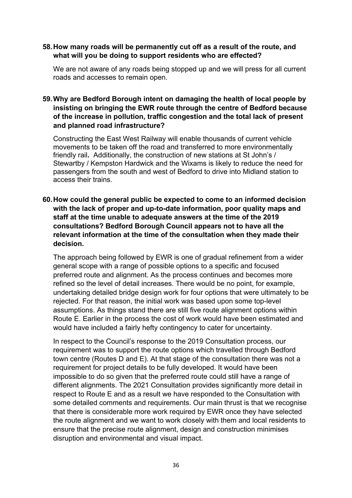#### **58.How many roads will be permanently cut off as a result of the route, and what will you be doing to support residents who are effected?**

We are not aware of any roads being stopped up and we will press for all current roads and accesses to remain open.

## **59.Why are Bedford Borough intent on damaging the health of local people by insisting on bringing the EWR route through the centre of Bedford because of the increase in pollution, traffic congestion and the total lack of present and planned road infrastructure?**

Constructing the East West Railway will enable thousands of current vehicle movements to be taken off the road and transferred to more environmentally friendly rail**.** Additionally, the construction of new stations at St John's / Stewartby / Kempston Hardwick and the Wixams is likely to reduce the need for passengers from the south and west of Bedford to drive into Midland station to access their trains.

**60.How could the general public be expected to come to an informed decision with the lack of proper and up-to-date information, poor quality maps and staff at the time unable to adequate answers at the time of the 2019 consultations? Bedford Borough Council appears not to have all the relevant information at the time of the consultation when they made their decision.**

The approach being followed by EWR is one of gradual refinement from a wider general scope with a range of possible options to a specific and focused preferred route and alignment. As the process continues and becomes more refined so the level of detail increases. There would be no point, for example, undertaking detailed bridge design work for four options that were ultimately to be rejected. For that reason, the initial work was based upon some top-level assumptions. As things stand there are still five route alignment options within Route E. Earlier in the process the cost of work would have been estimated and would have included a fairly hefty contingency to cater for uncertainty.

In respect to the Council's response to the 2019 Consultation process, our requirement was to support the route options which travelled through Bedford town centre (Routes D and E). At that stage of the consultation there was not a requirement for project details to be fully developed. It would have been impossible to do so given that the preferred route could still have a range of different alignments. The 2021 Consultation provides significantly more detail in respect to Route E and as a result we have responded to the Consultation with some detailed comments and requirements. Our main thrust is that we recognise that there is considerable more work required by EWR once they have selected the route alignment and we want to work closely with them and local residents to ensure that the precise route alignment, design and construction minimises disruption and environmental and visual impact.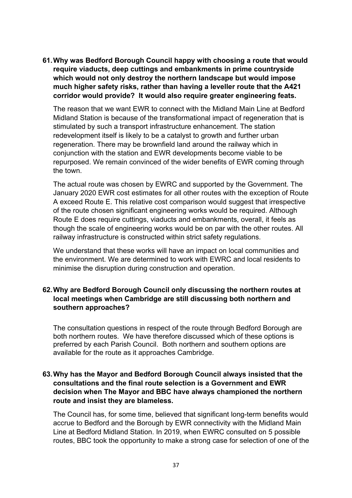**61.Why was Bedford Borough Council happy with choosing a route that would require viaducts, deep cuttings and embankments in prime countryside which would not only destroy the northern landscape but would impose much higher safety risks, rather than having a leveller route that the A421 corridor would provide? It would also require greater engineering feats.** 

The reason that we want EWR to connect with the Midland Main Line at Bedford Midland Station is because of the transformational impact of regeneration that is stimulated by such a transport infrastructure enhancement. The station redevelopment itself is likely to be a catalyst to growth and further urban regeneration. There may be brownfield land around the railway which in conjunction with the station and EWR developments become viable to be repurposed. We remain convinced of the wider benefits of EWR coming through the town.

The actual route was chosen by EWRC and supported by the Government. The January 2020 EWR cost estimates for all other routes with the exception of Route A exceed Route E. This relative cost comparison would suggest that irrespective of the route chosen significant engineering works would be required. Although Route E does require cuttings, viaducts and embankments, overall, it feels as though the scale of engineering works would be on par with the other routes. All railway infrastructure is constructed within strict safety regulations.

We understand that these works will have an impact on local communities and the environment. We are determined to work with EWRC and local residents to minimise the disruption during construction and operation.

## **62.Why are Bedford Borough Council only discussing the northern routes at local meetings when Cambridge are still discussing both northern and southern approaches?**

The consultation questions in respect of the route through Bedford Borough are both northern routes. We have therefore discussed which of these options is preferred by each Parish Council. Both northern and southern options are available for the route as it approaches Cambridge.

## **63.Why has the Mayor and Bedford Borough Council always insisted that the consultations and the final route selection is a Government and EWR decision when The Mayor and BBC have always championed the northern route and insist they are blameless.**

The Council has, for some time, believed that significant long-term benefits would accrue to Bedford and the Borough by EWR connectivity with the Midland Main Line at Bedford Midland Station. In 2019, when EWRC consulted on 5 possible routes, BBC took the opportunity to make a strong case for selection of one of the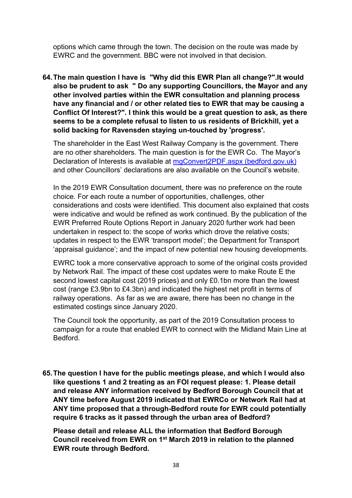options which came through the town. The decision on the route was made by EWRC and the government. BBC were not involved in that decision.

**64.The main question I have is "Why did this EWR Plan all change?".It would also be prudent to ask " Do any supporting Councillors, the Mayor and any other involved parties within the EWR consultation and planning process have any financial and / or other related ties to EWR that may be causing a Conflict Of Interest?". I think this would be a great question to ask, as there seems to be a complete refusal to listen to us residents of Brickhill, yet a solid backing for Ravensden staying un-touched by 'progress'.**

The shareholder in the East West Railway Company is the government. There are no other shareholders. The main question is for the EWR Co.The Mayor's Declaration of Interests is available at [mgConvert2PDF.aspx \(bedford.gov.uk\)](https://councillorsupport.bedford.gov.uk/mgConvert2PDF.aspx?ID=152&T=6) and other Councillors' declarations are also available on the Council's website.

In the 2019 EWR Consultation document, there was no preference on the route choice. For each route a number of opportunities, challenges, other considerations and costs were identified. This document also explained that costs were indicative and would be refined as work continued. By the publication of the EWR Preferred Route Options Report in January 2020 further work had been undertaken in respect to: the scope of works which drove the relative costs; updates in respect to the EWR 'transport model'; the Department for Transport 'appraisal guidance'; and the impact of new potential new housing developments.

EWRC took a more conservative approach to some of the original costs provided by Network Rail. The impact of these cost updates were to make Route E the second lowest capital cost (2019 prices) and only £0.1bn more than the lowest cost (range £3.9bn to £4.3bn) and indicated the highest net profit in terms of railway operations. As far as we are aware, there has been no change in the estimated costings since January 2020.

The Council took the opportunity, as part of the 2019 Consultation process to campaign for a route that enabled EWR to connect with the Midland Main Line at Bedford.

**65.The question I have for the public meetings please, and which I would also like questions 1 and 2 treating as an FOI request please: 1. Please detail and release ANY information received by Bedford Borough Council that at ANY time before August 2019 indicated that EWRCo or Network Rail had at ANY time proposed that a through-Bedford route for EWR could potentially require 6 tracks as it passed through the urban area of Bedford?**

**Please detail and release ALL the information that Bedford Borough Council received from EWR on 1st March 2019 in relation to the planned EWR route through Bedford.**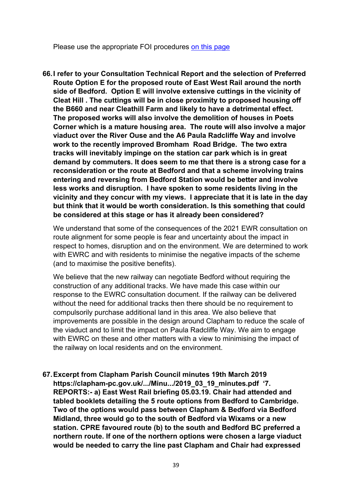Please use the appropriate FOI procedures [on this page](https://www.bedford.gov.uk/council-and-democracy/data-protection-foi-eir/freedom-of-information/)

**66.I refer to your Consultation Technical Report and the selection of Preferred Route Option E for the proposed route of East West Rail around the north side of Bedford. Option E will involve extensive cuttings in the vicinity of Cleat Hill . The cuttings will be in close proximity to proposed housing off the B660 and near Cleathill Farm and likely to have a detrimental effect. The proposed works will also involve the demolition of houses in Poets Corner which is a mature housing area. The route will also involve a major viaduct over the River Ouse and the A6 Paula Radcliffe Way and involve work to the recently improved Bromham Road Bridge. The two extra tracks will inevitably impinge on the station car park which is in great demand by commuters. It does seem to me that there is a strong case for a reconsideration or the route at Bedford and that a scheme involving trains entering and reversing from Bedford Station would be better and involve less works and disruption. I have spoken to some residents living in the vicinity and they concur with my views. I appreciate that it is late in the day but think that it would be worth consideration. Is this something that could be considered at this stage or has it already been considered?**

We understand that some of the consequences of the 2021 EWR consultation on route alignment for some people is fear and uncertainty about the impact in respect to homes, disruption and on the environment. We are determined to work with EWRC and with residents to minimise the negative impacts of the scheme (and to maximise the positive benefits).

We believe that the new railway can negotiate Bedford without requiring the construction of any additional tracks. We have made this case within our response to the EWRC consultation document. If the railway can be delivered without the need for additional tracks then there should be no requirement to compulsorily purchase additional land in this area. We also believe that improvements are possible in the design around Clapham to reduce the scale of the viaduct and to limit the impact on Paula Radcliffe Way. We aim to engage with EWRC on these and other matters with a view to minimising the impact of the railway on local residents and on the environment.

**67.Excerpt from Clapham Parish Council minutes 19th March 2019 https://clapham-pc.gov.uk/.../Minu.../2019\_03\_19\_minutes.pdf '7. REPORTS:- a) East West Rail briefing 05.03.19. Chair had attended and tabled booklets detailing the 5 route options from Bedford to Cambridge. Two of the options would pass between Clapham & Bedford via Bedford Midland, three would go to the south of Bedford via Wixams or a new station. CPRE favoured route (b) to the south and Bedford BC preferred a northern route. If one of the northern options were chosen a large viaduct would be needed to carry the line past Clapham and Chair had expressed**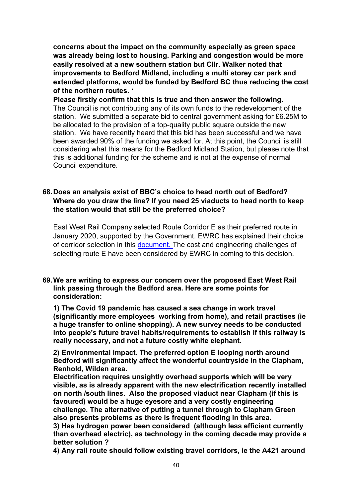**concerns about the impact on the community especially as green space was already being lost to housing. Parking and congestion would be more easily resolved at a new southern station but Cllr. Walker noted that improvements to Bedford Midland, including a multi storey car park and extended platforms, would be funded by Bedford BC thus reducing the cost of the northern routes. '**

**Please firstly confirm that this is true and then answer the following.** The Council is not contributing any of its own funds to the redevelopment of the station. We submitted a separate bid to central government asking for £6.25M to be allocated to the provision of a top-quality public square outside the new station. We have recently heard that this bid has been successful and we have been awarded 90% of the funding we asked for. At this point, the Council is still considering what this means for the Bedford Midland Station, but please note that this is additional funding for the scheme and is not at the expense of normal Council expenditure.

## **68.Does an analysis exist of BBC's choice to head north out of Bedford? Where do you draw the line? If you need 25 viaducts to head north to keep the station would that still be the preferred choice?**

East West Rail Company selected Route Corridor E as their preferred route in January 2020, supported by the Government. EWRC has explained their choice of corridor selection in this [document.](https://eastwestrail-production.s3.eu-west-2.amazonaws.com/public/MediaObjectFiles/a72dbd2d81/Preferred-Route-Option-Announcement-Preferred-Route-Option-Report-v2.pdf) The cost and engineering challenges of selecting route E have been considered by EWRC in coming to this decision.

#### **69.We are writing to express our concern over the proposed East West Rail link passing through the Bedford area. Here are some points for consideration:**

**1) The Covid 19 pandemic has caused a sea change in work travel (significantly more employees working from home), and retail practises (ie a huge transfer to online shopping). A new survey needs to be conducted into people's future travel habits/requirements to establish if this railway is really necessary, and not a future costly white elephant.**

**2) Environmental impact. The preferred option E looping north around Bedford will significantly affect the wonderful countryside in the Clapham, Renhold, Wilden area.**

**Electrification requires unsightly overhead supports which will be very visible, as is already apparent with the new electrification recently installed on north /south lines. Also the proposed viaduct near Clapham (if this is favoured) would be a huge eyesore and a very costly engineering challenge. The alternative of putting a tunnel through to Clapham Green also presents problems as there is frequent flooding in this area.**

**3) Has hydrogen power been considered (although less efficient currently than overhead electric), as technology in the coming decade may provide a better solution ?**

**4) Any rail route should follow existing travel corridors, ie the A421 around**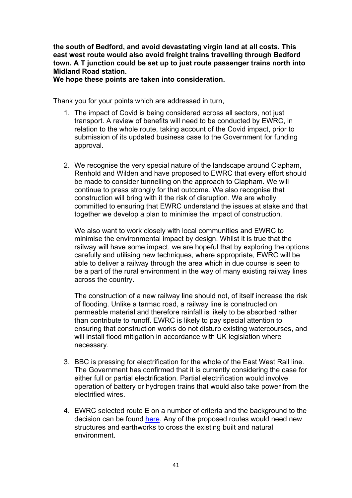**the south of Bedford, and avoid devastating virgin land at all costs. This east west route would also avoid freight trains travelling through Bedford town. A T junction could be set up to just route passenger trains north into Midland Road station.**

**We hope these points are taken into consideration.**

Thank you for your points which are addressed in turn,

- 1. The impact of Covid is being considered across all sectors, not just transport. A review of benefits will need to be conducted by EWRC, in relation to the whole route, taking account of the Covid impact, prior to submission of its updated business case to the Government for funding approval.
- 2. We recognise the very special nature of the landscape around Clapham, Renhold and Wilden and have proposed to EWRC that every effort should be made to consider tunnelling on the approach to Clapham. We will continue to press strongly for that outcome. We also recognise that construction will bring with it the risk of disruption. We are wholly committed to ensuring that EWRC understand the issues at stake and that together we develop a plan to minimise the impact of construction.

We also want to work closely with local communities and EWRC to minimise the environmental impact by design. Whilst it is true that the railway will have some impact, we are hopeful that by exploring the options carefully and utilising new techniques, where appropriate, EWRC will be able to deliver a railway through the area which in due course is seen to be a part of the rural environment in the way of many existing railway lines across the country.

The construction of a new railway line should not, of itself increase the risk of flooding. Unlike a tarmac road, a railway line is constructed on permeable material and therefore rainfall is likely to be absorbed rather than contribute to runoff. EWRC is likely to pay special attention to ensuring that construction works do not disturb existing watercourses, and will install flood mitigation in accordance with UK legislation where necessary.

- 3. BBC is pressing for electrification for the whole of the East West Rail line. The Government has confirmed that it is currently considering the case for either full or partial electrification. Partial electrification would involve operation of battery or hydrogen trains that would also take power from the electrified wires.
- 4. EWRC selected route E on a number of criteria and the background to the decision can be found [here.](https://eastwestrail-production.s3.eu-west-2.amazonaws.com/public/MediaObjectFiles/a72dbd2d81/Preferred-Route-Option-Announcement-Preferred-Route-Option-Report-v2.pdf) Any of the proposed routes would need new structures and earthworks to cross the existing built and natural environment.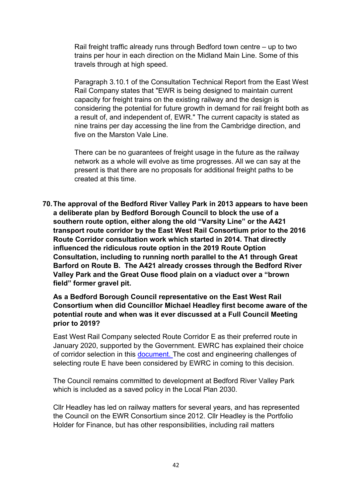Rail freight traffic already runs through Bedford town centre – up to two trains per hour in each direction on the Midland Main Line. Some of this travels through at high speed.

Paragraph 3.10.1 of the Consultation Technical Report from the East West Rail Company states that "EWR is being designed to maintain current capacity for freight trains on the existing railway and the design is considering the potential for future growth in demand for rail freight both as a result of, and independent of, EWR." The current capacity is stated as nine trains per day accessing the line from the Cambridge direction, and five on the Marston Vale Line.

There can be no quarantees of freight usage in the future as the railway network as a whole will evolve as time progresses. All we can say at the present is that there are no proposals for additional freight paths to be created at this time.

**70.The approval of the Bedford River Valley Park in 2013 appears to have been a deliberate plan by Bedford Borough Council to block the use of a southern route option, either along the old "Varsity Line" or the A421 transport route corridor by the East West Rail Consortium prior to the 2016 Route Corridor consultation work which started in 2014. That directly influenced the ridiculous route option in the 2019 Route Option Consultation, including to running north parallel to the A1 through Great Barford on Route B. The A421 already crosses through the Bedford River Valley Park and the Great Ouse flood plain on a viaduct over a "brown field" former gravel pit.**

**As a Bedford Borough Council representative on the East West Rail Consortium when did Councillor Michael Headley first become aware of the potential route and when was it ever discussed at a Full Council Meeting prior to 2019?**

East West Rail Company selected Route Corridor E as their preferred route in January 2020, supported by the Government. EWRC has explained their choice of corridor selection in this [document.](https://eastwestrail-production.s3.eu-west-2.amazonaws.com/public/MediaObjectFiles/a72dbd2d81/Preferred-Route-Option-Announcement-Preferred-Route-Option-Report-v2.pdf) The cost and engineering challenges of selecting route E have been considered by EWRC in coming to this decision.

The Council remains committed to development at Bedford River Valley Park which is included as a saved policy in the Local Plan 2030.

Cllr Headley has led on railway matters for several years, and has represented the Council on the EWR Consortium since 2012. Cllr Headley is the Portfolio Holder for Finance, but has other responsibilities, including rail matters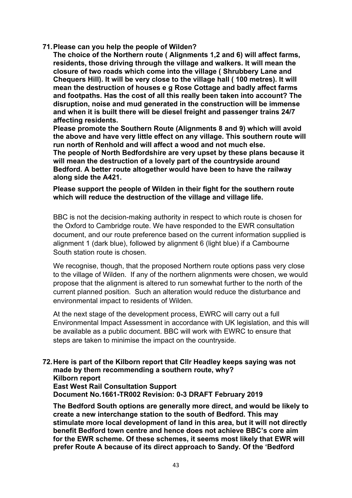**71.Please can you help the people of Wilden?** 

**The choice of the Northern route ( Alignments 1,2 and 6) will affect farms, residents, those driving through the village and walkers. It will mean the closure of two roads which come into the village ( Shrubbery Lane and Chequers Hill). It will be very close to the village hall ( 100 metres). It will mean the destruction of houses e g Rose Cottage and badly affect farms and footpaths. Has the cost of all this really been taken into account? The disruption, noise and mud generated in the construction will be immense and when it is built there will be diesel freight and passenger trains 24/7 affecting residents.** 

**Please promote the Southern Route (Alignments 8 and 9) which will avoid the above and have very little effect on any village. This southern route will run north of Renhold and will affect a wood and not much else. The people of North Bedfordshire are very upset by these plans because it will mean the destruction of a lovely part of the countryside around Bedford. A better route altogether would have been to have the railway along side the A421.**

**Please support the people of Wilden in their fight for the southern route which will reduce the destruction of the village and village life.**

BBC is not the decision-making authority in respect to which route is chosen for the Oxford to Cambridge route. We have responded to the EWR consultation document, and our route preference based on the current information supplied is alignment 1 (dark blue), followed by alignment 6 (light blue) if a Cambourne South station route is chosen.

We recognise, though, that the proposed Northern route options pass very close to the village of Wilden. If any of the northern alignments were chosen, we would propose that the alignment is altered to run somewhat further to the north of the current planned position. Such an alteration would reduce the disturbance and environmental impact to residents of Wilden.

At the next stage of the development process, EWRC will carry out a full Environmental Impact Assessment in accordance with UK legislation, and this will be available as a public document. BBC will work with EWRC to ensure that steps are taken to minimise the impact on the countryside.

## **72.Here is part of the Kilborn report that Cllr Headley keeps saying was not made by them recommending a southern route, why? Kilborn report East West Rail Consultation Support**

**Document No.1661-TR002 Revision: 0-3 DRAFT February 2019**

**The Bedford South options are generally more direct, and would be likely to create a new interchange station to the south of Bedford. This may stimulate more local development of land in this area, but it will not directly benefit Bedford town centre and hence does not achieve BBC's core aim for the EWR scheme. Of these schemes, it seems most likely that EWR will prefer Route A because of its direct approach to Sandy. Of the 'Bedford**